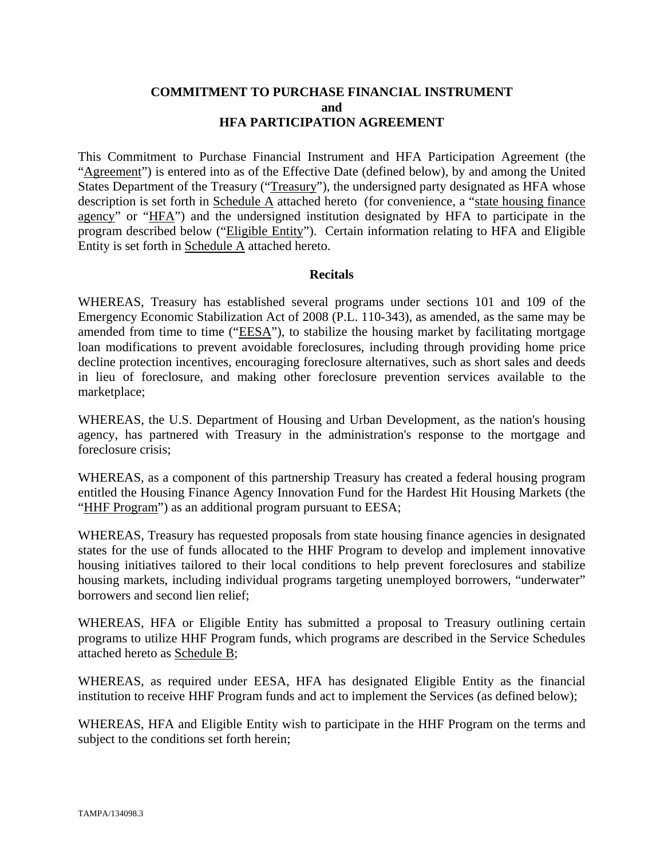#### **COMMITMENT TO PURCHASE FINANCIAL INSTRUMENT and HFA PARTICIPATION AGREEMENT**

This Commitment to Purchase Financial Instrument and HFA Participation Agreement (the "Agreement") is entered into as of the Effective Date (defined below), by and among the United States Department of the Treasury ("Treasury"), the undersigned party designated as HFA whose description is set forth in Schedule A attached hereto (for convenience, a "state housing finance agency" or "HFA") and the undersigned institution designated by HFA to participate in the program described below ("Eligible Entity"). Certain information relating to HFA and Eligible Entity is set forth in Schedule A attached hereto.

#### **Recitals**

WHEREAS, Treasury has established several programs under sections 101 and 109 of the Emergency Economic Stabilization Act of 2008 (P.L. 110-343), as amended, as the same may be amended from time to time ("EESA"), to stabilize the housing market by facilitating mortgage loan modifications to prevent avoidable foreclosures, including through providing home price decline protection incentives, encouraging foreclosure alternatives, such as short sales and deeds in lieu of foreclosure, and making other foreclosure prevention services available to the marketplace;

WHEREAS, the U.S. Department of Housing and Urban Development, as the nation's housing agency, has partnered with Treasury in the administration's response to the mortgage and foreclosure crisis;

WHEREAS, as a component of this partnership Treasury has created a federal housing program entitled the Housing Finance Agency Innovation Fund for the Hardest Hit Housing Markets (the "HHF Program") as an additional program pursuant to EESA;

WHEREAS, Treasury has requested proposals from state housing finance agencies in designated states for the use of funds allocated to the HHF Program to develop and implement innovative housing initiatives tailored to their local conditions to help prevent foreclosures and stabilize housing markets, including individual programs targeting unemployed borrowers, "underwater" borrowers and second lien relief;

WHEREAS, HFA or Eligible Entity has submitted a proposal to Treasury outlining certain programs to utilize HHF Program funds, which programs are described in the Service Schedules attached hereto as Schedule B;

WHEREAS, as required under EESA, HFA has designated Eligible Entity as the financial institution to receive HHF Program funds and act to implement the Services (as defined below);

WHEREAS, HFA and Eligible Entity wish to participate in the HHF Program on the terms and subject to the conditions set forth herein;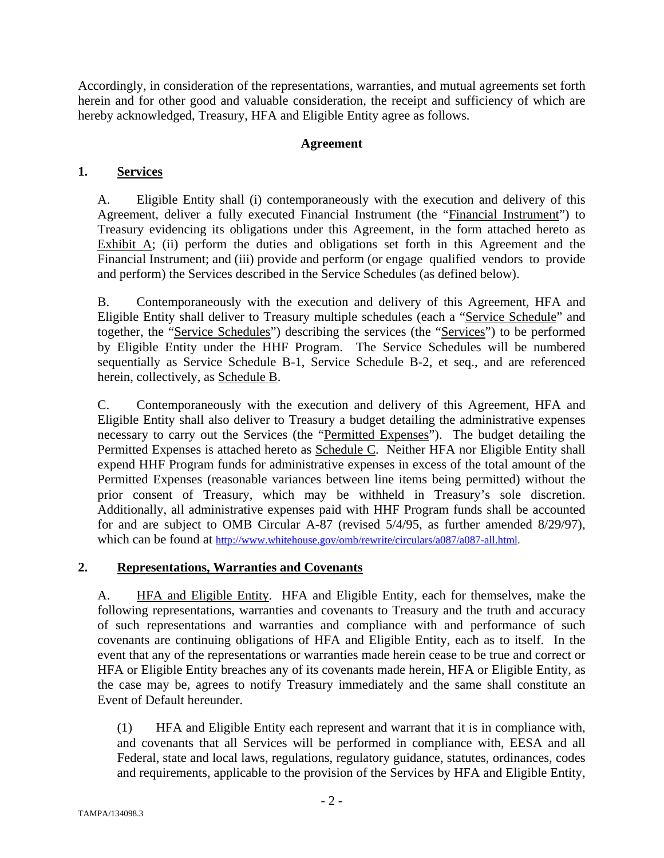Accordingly, in consideration of the representations, warranties, and mutual agreements set forth herein and for other good and valuable consideration, the receipt and sufficiency of which are hereby acknowledged, Treasury, HFA and Eligible Entity agree as follows.

## **Agreement**

## **1. Services**

A. Eligible Entity shall (i) contemporaneously with the execution and delivery of this Agreement, deliver a fully executed Financial Instrument (the "Financial Instrument") to Treasury evidencing its obligations under this Agreement, in the form attached hereto as Exhibit  $\overline{A}$ ; (ii) perform the duties and obligations set forth in this Agreement and the Financial Instrument; and (iii) provide and perform (or engage qualified vendors to provide and perform) the Services described in the Service Schedules (as defined below).

B. Contemporaneously with the execution and delivery of this Agreement, HFA and Eligible Entity shall deliver to Treasury multiple schedules (each a "Service Schedule" and together, the "Service Schedules") describing the services (the "Services") to be performed by Eligible Entity under the HHF Program. The Service Schedules will be numbered sequentially as Service Schedule B-1, Service Schedule B-2, et seq., and are referenced herein, collectively, as Schedule B.

C. Contemporaneously with the execution and delivery of this Agreement, HFA and Eligible Entity shall also deliver to Treasury a budget detailing the administrative expenses necessary to carry out the Services (the "Permitted Expenses"). The budget detailing the Permitted Expenses is attached hereto as Schedule C. Neither HFA nor Eligible Entity shall expend HHF Program funds for administrative expenses in excess of the total amount of the Permitted Expenses (reasonable variances between line items being permitted) without the prior consent of Treasury, which may be withheld in Treasury's sole discretion. Additionally, all administrative expenses paid with HHF Program funds shall be accounted for and are subject to OMB Circular A-87 (revised 5/4/95, as further amended 8/29/97), which can be found at http://www.whitehouse.gov/omb/rewrite/circulars/a087/a087-all.html.

## **2. Representations, Warranties and Covenants**

A. **HFA and Eligible Entity.** HFA and Eligible Entity, each for themselves, make the following representations, warranties and covenants to Treasury and the truth and accuracy of such representations and warranties and compliance with and performance of such covenants are continuing obligations of HFA and Eligible Entity, each as to itself. In the event that any of the representations or warranties made herein cease to be true and correct or HFA or Eligible Entity breaches any of its covenants made herein, HFA or Eligible Entity, as the case may be, agrees to notify Treasury immediately and the same shall constitute an Event of Default hereunder.

(1) HFA and Eligible Entity each represent and warrant that it is in compliance with, and covenants that all Services will be performed in compliance with, EESA and all Federal, state and local laws, regulations, regulatory guidance, statutes, ordinances, codes and requirements, applicable to the provision of the Services by HFA and Eligible Entity,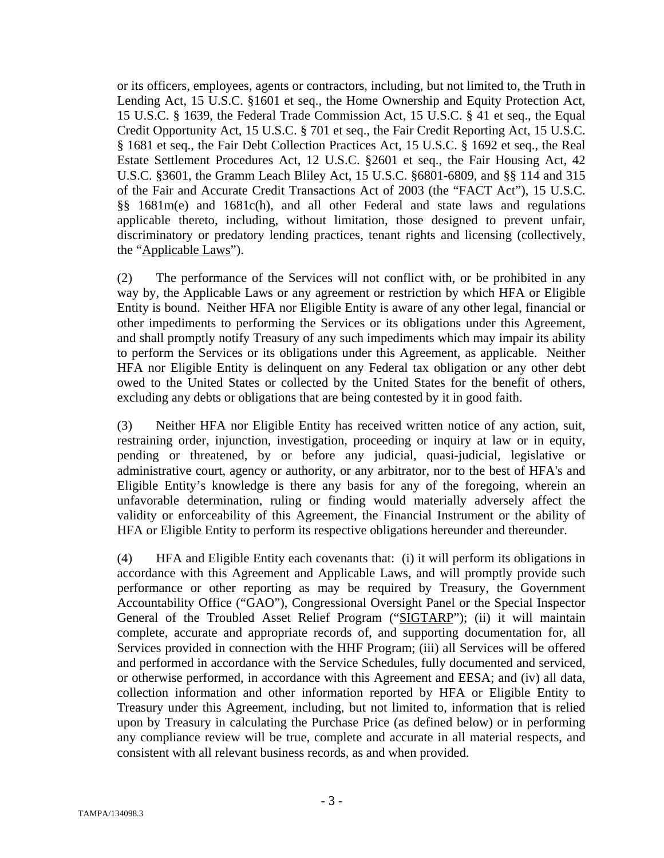or its officers, employees, agents or contractors, including, but not limited to, the Truth in Lending Act, 15 U.S.C. §1601 et seq., the Home Ownership and Equity Protection Act, 15 U.S.C. § 1639, the Federal Trade Commission Act, 15 U.S.C. § 41 et seq., the Equal Credit Opportunity Act, 15 U.S.C. § 701 et seq., the Fair Credit Reporting Act, 15 U.S.C. § 1681 et seq., the Fair Debt Collection Practices Act, 15 U.S.C. § 1692 et seq., the Real Estate Settlement Procedures Act, 12 U.S.C. §2601 et seq., the Fair Housing Act, 42 U.S.C. §3601, the Gramm Leach Bliley Act, 15 U.S.C. §6801-6809, and §§ 114 and 315 of the Fair and Accurate Credit Transactions Act of 2003 (the "FACT Act"), 15 U.S.C. §§ 1681m(e) and 1681c(h), and all other Federal and state laws and regulations applicable thereto, including, without limitation, those designed to prevent unfair, discriminatory or predatory lending practices, tenant rights and licensing (collectively, the "Applicable Laws").

(2) The performance of the Services will not conflict with, or be prohibited in any way by, the Applicable Laws or any agreement or restriction by which HFA or Eligible Entity is bound. Neither HFA nor Eligible Entity is aware of any other legal, financial or other impediments to performing the Services or its obligations under this Agreement, and shall promptly notify Treasury of any such impediments which may impair its ability to perform the Services or its obligations under this Agreement, as applicable. Neither HFA nor Eligible Entity is delinquent on any Federal tax obligation or any other debt owed to the United States or collected by the United States for the benefit of others, excluding any debts or obligations that are being contested by it in good faith.

(3) Neither HFA nor Eligible Entity has received written notice of any action, suit, restraining order, injunction, investigation, proceeding or inquiry at law or in equity, pending or threatened, by or before any judicial, quasi-judicial, legislative or administrative court, agency or authority, or any arbitrator, nor to the best of HFA's and Eligible Entity's knowledge is there any basis for any of the foregoing, wherein an unfavorable determination, ruling or finding would materially adversely affect the validity or enforceability of this Agreement, the Financial Instrument or the ability of HFA or Eligible Entity to perform its respective obligations hereunder and thereunder.

(4) HFA and Eligible Entity each covenants that: (i) it will perform its obligations in accordance with this Agreement and Applicable Laws, and will promptly provide such performance or other reporting as may be required by Treasury, the Government Accountability Office ("GAO"), Congressional Oversight Panel or the Special Inspector General of the Troubled Asset Relief Program ("SIGTARP"); (ii) it will maintain complete, accurate and appropriate records of, and supporting documentation for, all Services provided in connection with the HHF Program; (iii) all Services will be offered and performed in accordance with the Service Schedules, fully documented and serviced, or otherwise performed, in accordance with this Agreement and EESA; and (iv) all data, collection information and other information reported by HFA or Eligible Entity to Treasury under this Agreement, including, but not limited to, information that is relied upon by Treasury in calculating the Purchase Price (as defined below) or in performing any compliance review will be true, complete and accurate in all material respects, and consistent with all relevant business records, as and when provided.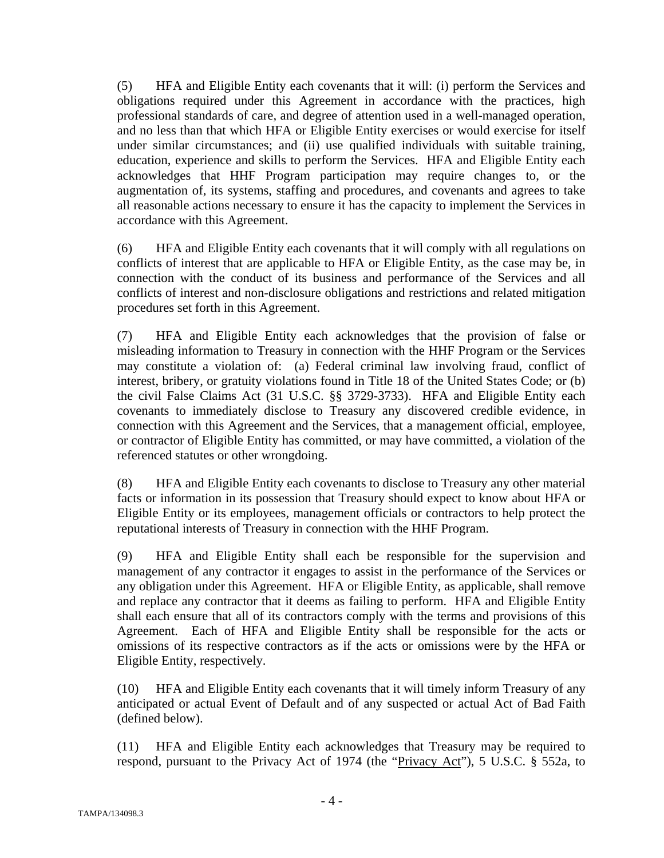(5) HFA and Eligible Entity each covenants that it will: (i) perform the Services and obligations required under this Agreement in accordance with the practices, high professional standards of care, and degree of attention used in a well-managed operation, and no less than that which HFA or Eligible Entity exercises or would exercise for itself under similar circumstances; and (ii) use qualified individuals with suitable training, education, experience and skills to perform the Services. HFA and Eligible Entity each acknowledges that HHF Program participation may require changes to, or the augmentation of, its systems, staffing and procedures, and covenants and agrees to take all reasonable actions necessary to ensure it has the capacity to implement the Services in accordance with this Agreement.

(6) HFA and Eligible Entity each covenants that it will comply with all regulations on conflicts of interest that are applicable to HFA or Eligible Entity, as the case may be, in connection with the conduct of its business and performance of the Services and all conflicts of interest and non-disclosure obligations and restrictions and related mitigation procedures set forth in this Agreement.

(7) HFA and Eligible Entity each acknowledges that the provision of false or misleading information to Treasury in connection with the HHF Program or the Services may constitute a violation of: (a) Federal criminal law involving fraud, conflict of interest, bribery, or gratuity violations found in Title 18 of the United States Code; or (b) the civil False Claims Act (31 U.S.C. §§ 3729-3733). HFA and Eligible Entity each covenants to immediately disclose to Treasury any discovered credible evidence, in connection with this Agreement and the Services, that a management official, employee, or contractor of Eligible Entity has committed, or may have committed, a violation of the referenced statutes or other wrongdoing.

(8) HFA and Eligible Entity each covenants to disclose to Treasury any other material facts or information in its possession that Treasury should expect to know about HFA or Eligible Entity or its employees, management officials or contractors to help protect the reputational interests of Treasury in connection with the HHF Program.

(9) HFA and Eligible Entity shall each be responsible for the supervision and management of any contractor it engages to assist in the performance of the Services or any obligation under this Agreement. HFA or Eligible Entity, as applicable, shall remove and replace any contractor that it deems as failing to perform. HFA and Eligible Entity shall each ensure that all of its contractors comply with the terms and provisions of this Agreement. Each of HFA and Eligible Entity shall be responsible for the acts or omissions of its respective contractors as if the acts or omissions were by the HFA or Eligible Entity, respectively.

(10) HFA and Eligible Entity each covenants that it will timely inform Treasury of any anticipated or actual Event of Default and of any suspected or actual Act of Bad Faith (defined below).

(11) HFA and Eligible Entity each acknowledges that Treasury may be required to respond, pursuant to the Privacy Act of 1974 (the "Privacy Act"), 5 U.S.C. § 552a, to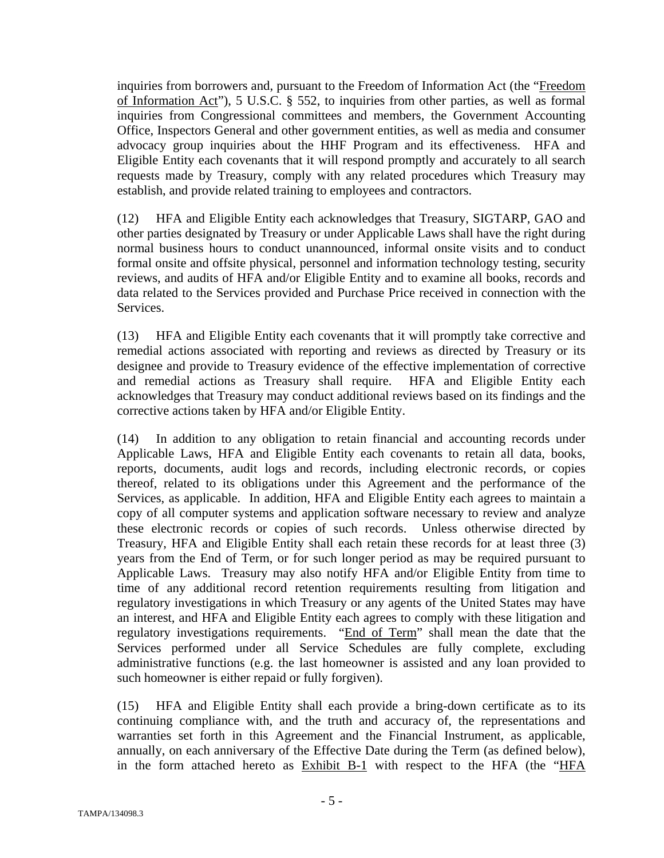inquiries from borrowers and, pursuant to the Freedom of Information Act (the "Freedom of Information Act"), 5 U.S.C. § 552, to inquiries from other parties, as well as formal inquiries from Congressional committees and members, the Government Accounting Office, Inspectors General and other government entities, as well as media and consumer advocacy group inquiries about the HHF Program and its effectiveness. HFA and Eligible Entity each covenants that it will respond promptly and accurately to all search requests made by Treasury, comply with any related procedures which Treasury may establish, and provide related training to employees and contractors.

(12) HFA and Eligible Entity each acknowledges that Treasury, SIGTARP, GAO and other parties designated by Treasury or under Applicable Laws shall have the right during normal business hours to conduct unannounced, informal onsite visits and to conduct formal onsite and offsite physical, personnel and information technology testing, security reviews, and audits of HFA and/or Eligible Entity and to examine all books, records and data related to the Services provided and Purchase Price received in connection with the Services.

(13) HFA and Eligible Entity each covenants that it will promptly take corrective and remedial actions associated with reporting and reviews as directed by Treasury or its designee and provide to Treasury evidence of the effective implementation of corrective and remedial actions as Treasury shall require. HFA and Eligible Entity each acknowledges that Treasury may conduct additional reviews based on its findings and the corrective actions taken by HFA and/or Eligible Entity.

(14) In addition to any obligation to retain financial and accounting records under Applicable Laws, HFA and Eligible Entity each covenants to retain all data, books, reports, documents, audit logs and records, including electronic records, or copies thereof, related to its obligations under this Agreement and the performance of the Services, as applicable. In addition, HFA and Eligible Entity each agrees to maintain a copy of all computer systems and application software necessary to review and analyze these electronic records or copies of such records. Unless otherwise directed by Treasury, HFA and Eligible Entity shall each retain these records for at least three (3) years from the End of Term, or for such longer period as may be required pursuant to Applicable Laws. Treasury may also notify HFA and/or Eligible Entity from time to time of any additional record retention requirements resulting from litigation and regulatory investigations in which Treasury or any agents of the United States may have an interest, and HFA and Eligible Entity each agrees to comply with these litigation and regulatory investigations requirements. "End of Term" shall mean the date that the Services performed under all Service Schedules are fully complete, excluding administrative functions (e.g. the last homeowner is assisted and any loan provided to such homeowner is either repaid or fully forgiven).

(15) HFA and Eligible Entity shall each provide a bring-down certificate as to its continuing compliance with, and the truth and accuracy of, the representations and warranties set forth in this Agreement and the Financial Instrument, as applicable, annually, on each anniversary of the Effective Date during the Term (as defined below), in the form attached hereto as Exhibit B-1 with respect to the HFA (the "HFA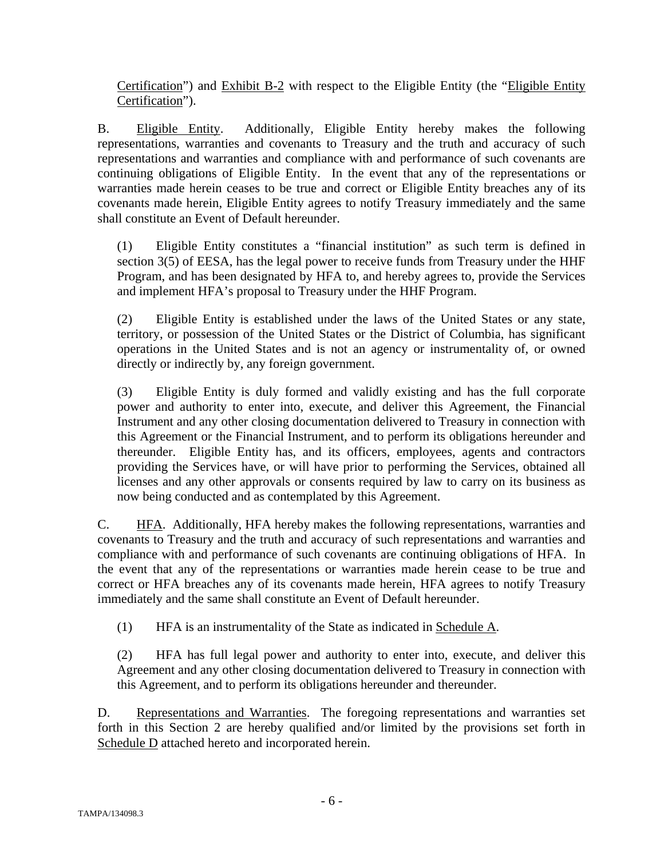Certification") and Exhibit B-2 with respect to the Eligible Entity (the "Eligible Entity Certification").

B. Eligible Entity. Additionally, Eligible Entity hereby makes the following representations, warranties and covenants to Treasury and the truth and accuracy of such representations and warranties and compliance with and performance of such covenants are continuing obligations of Eligible Entity. In the event that any of the representations or warranties made herein ceases to be true and correct or Eligible Entity breaches any of its covenants made herein, Eligible Entity agrees to notify Treasury immediately and the same shall constitute an Event of Default hereunder.

(1) Eligible Entity constitutes a "financial institution" as such term is defined in section 3(5) of EESA, has the legal power to receive funds from Treasury under the HHF Program, and has been designated by HFA to, and hereby agrees to, provide the Services and implement HFA's proposal to Treasury under the HHF Program.

(2) Eligible Entity is established under the laws of the United States or any state, territory, or possession of the United States or the District of Columbia, has significant operations in the United States and is not an agency or instrumentality of, or owned directly or indirectly by, any foreign government.

(3) Eligible Entity is duly formed and validly existing and has the full corporate power and authority to enter into, execute, and deliver this Agreement, the Financial Instrument and any other closing documentation delivered to Treasury in connection with this Agreement or the Financial Instrument, and to perform its obligations hereunder and thereunder. Eligible Entity has, and its officers, employees, agents and contractors providing the Services have, or will have prior to performing the Services, obtained all licenses and any other approvals or consents required by law to carry on its business as now being conducted and as contemplated by this Agreement.

C. HFA. Additionally, HFA hereby makes the following representations, warranties and covenants to Treasury and the truth and accuracy of such representations and warranties and compliance with and performance of such covenants are continuing obligations of HFA. In the event that any of the representations or warranties made herein cease to be true and correct or HFA breaches any of its covenants made herein, HFA agrees to notify Treasury immediately and the same shall constitute an Event of Default hereunder.

(1) HFA is an instrumentality of the State as indicated in Schedule A.

(2) HFA has full legal power and authority to enter into, execute, and deliver this Agreement and any other closing documentation delivered to Treasury in connection with this Agreement, and to perform its obligations hereunder and thereunder.

D. Representations and Warranties. The foregoing representations and warranties set forth in this Section 2 are hereby qualified and/or limited by the provisions set forth in Schedule D attached hereto and incorporated herein.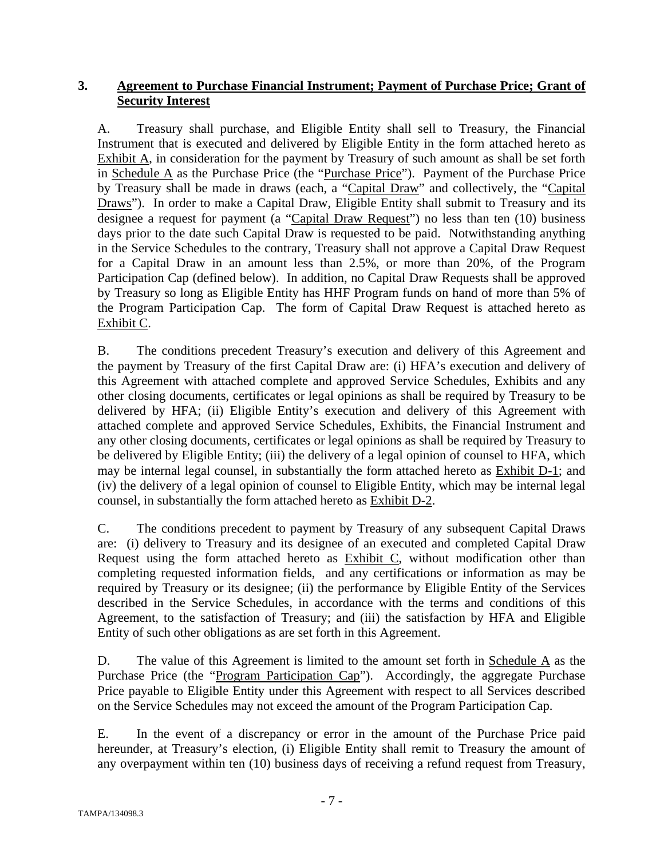## **3. Agreement to Purchase Financial Instrument; Payment of Purchase Price; Grant of Security Interest**

A. Treasury shall purchase, and Eligible Entity shall sell to Treasury, the Financial Instrument that is executed and delivered by Eligible Entity in the form attached hereto as Exhibit A, in consideration for the payment by Treasury of such amount as shall be set forth in Schedule A as the Purchase Price (the "Purchase Price"). Payment of the Purchase Price by Treasury shall be made in draws (each, a "Capital Draw" and collectively, the "Capital Draws"). In order to make a Capital Draw, Eligible Entity shall submit to Treasury and its designee a request for payment (a "Capital Draw Request") no less than ten (10) business days prior to the date such Capital Draw is requested to be paid. Notwithstanding anything in the Service Schedules to the contrary, Treasury shall not approve a Capital Draw Request for a Capital Draw in an amount less than 2.5%, or more than 20%, of the Program Participation Cap (defined below). In addition, no Capital Draw Requests shall be approved by Treasury so long as Eligible Entity has HHF Program funds on hand of more than 5% of the Program Participation Cap. The form of Capital Draw Request is attached hereto as Exhibit C.

B. The conditions precedent Treasury's execution and delivery of this Agreement and the payment by Treasury of the first Capital Draw are: (i) HFA's execution and delivery of this Agreement with attached complete and approved Service Schedules, Exhibits and any other closing documents, certificates or legal opinions as shall be required by Treasury to be delivered by HFA; (ii) Eligible Entity's execution and delivery of this Agreement with attached complete and approved Service Schedules, Exhibits, the Financial Instrument and any other closing documents, certificates or legal opinions as shall be required by Treasury to be delivered by Eligible Entity; (iii) the delivery of a legal opinion of counsel to HFA, which may be internal legal counsel, in substantially the form attached hereto as Exhibit D-1; and (iv) the delivery of a legal opinion of counsel to Eligible Entity, which may be internal legal counsel, in substantially the form attached hereto as Exhibit D-2.

C. The conditions precedent to payment by Treasury of any subsequent Capital Draws are: (i) delivery to Treasury and its designee of an executed and completed Capital Draw Request using the form attached hereto as Exhibit C, without modification other than completing requested information fields, and any certifications or information as may be required by Treasury or its designee; (ii) the performance by Eligible Entity of the Services described in the Service Schedules, in accordance with the terms and conditions of this Agreement, to the satisfaction of Treasury; and (iii) the satisfaction by HFA and Eligible Entity of such other obligations as are set forth in this Agreement.

D. The value of this Agreement is limited to the amount set forth in Schedule  $\overline{A}$  as the Purchase Price (the "Program Participation Cap"). Accordingly, the aggregate Purchase Price payable to Eligible Entity under this Agreement with respect to all Services described on the Service Schedules may not exceed the amount of the Program Participation Cap.

E. In the event of a discrepancy or error in the amount of the Purchase Price paid hereunder, at Treasury's election, (i) Eligible Entity shall remit to Treasury the amount of any overpayment within ten (10) business days of receiving a refund request from Treasury,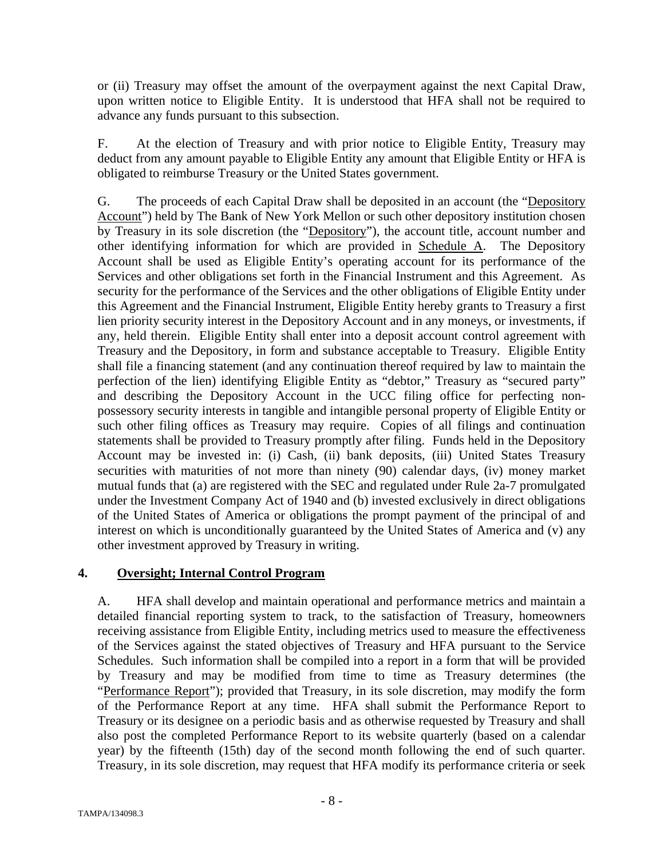or (ii) Treasury may offset the amount of the overpayment against the next Capital Draw, upon written notice to Eligible Entity. It is understood that HFA shall not be required to advance any funds pursuant to this subsection.

F. At the election of Treasury and with prior notice to Eligible Entity, Treasury may deduct from any amount payable to Eligible Entity any amount that Eligible Entity or HFA is obligated to reimburse Treasury or the United States government.

G. The proceeds of each Capital Draw shall be deposited in an account (the "Depository Account") held by The Bank of New York Mellon or such other depository institution chosen by Treasury in its sole discretion (the "Depository"), the account title, account number and other identifying information for which are provided in Schedule A. The Depository Account shall be used as Eligible Entity's operating account for its performance of the Services and other obligations set forth in the Financial Instrument and this Agreement. As security for the performance of the Services and the other obligations of Eligible Entity under this Agreement and the Financial Instrument, Eligible Entity hereby grants to Treasury a first lien priority security interest in the Depository Account and in any moneys, or investments, if any, held therein. Eligible Entity shall enter into a deposit account control agreement with Treasury and the Depository, in form and substance acceptable to Treasury. Eligible Entity shall file a financing statement (and any continuation thereof required by law to maintain the perfection of the lien) identifying Eligible Entity as "debtor," Treasury as "secured party" and describing the Depository Account in the UCC filing office for perfecting nonpossessory security interests in tangible and intangible personal property of Eligible Entity or such other filing offices as Treasury may require. Copies of all filings and continuation statements shall be provided to Treasury promptly after filing. Funds held in the Depository Account may be invested in: (i) Cash, (ii) bank deposits, (iii) United States Treasury securities with maturities of not more than ninety (90) calendar days, (iv) money market mutual funds that (a) are registered with the SEC and regulated under Rule 2a-7 promulgated under the Investment Company Act of 1940 and (b) invested exclusively in direct obligations of the United States of America or obligations the prompt payment of the principal of and interest on which is unconditionally guaranteed by the United States of America and (v) any other investment approved by Treasury in writing.

## **4. Oversight; Internal Control Program**

A. HFA shall develop and maintain operational and performance metrics and maintain a detailed financial reporting system to track, to the satisfaction of Treasury, homeowners receiving assistance from Eligible Entity, including metrics used to measure the effectiveness of the Services against the stated objectives of Treasury and HFA pursuant to the Service Schedules. Such information shall be compiled into a report in a form that will be provided by Treasury and may be modified from time to time as Treasury determines (the "Performance Report"); provided that Treasury, in its sole discretion, may modify the form of the Performance Report at any time. HFA shall submit the Performance Report to Treasury or its designee on a periodic basis and as otherwise requested by Treasury and shall also post the completed Performance Report to its website quarterly (based on a calendar year) by the fifteenth (15th) day of the second month following the end of such quarter. Treasury, in its sole discretion, may request that HFA modify its performance criteria or seek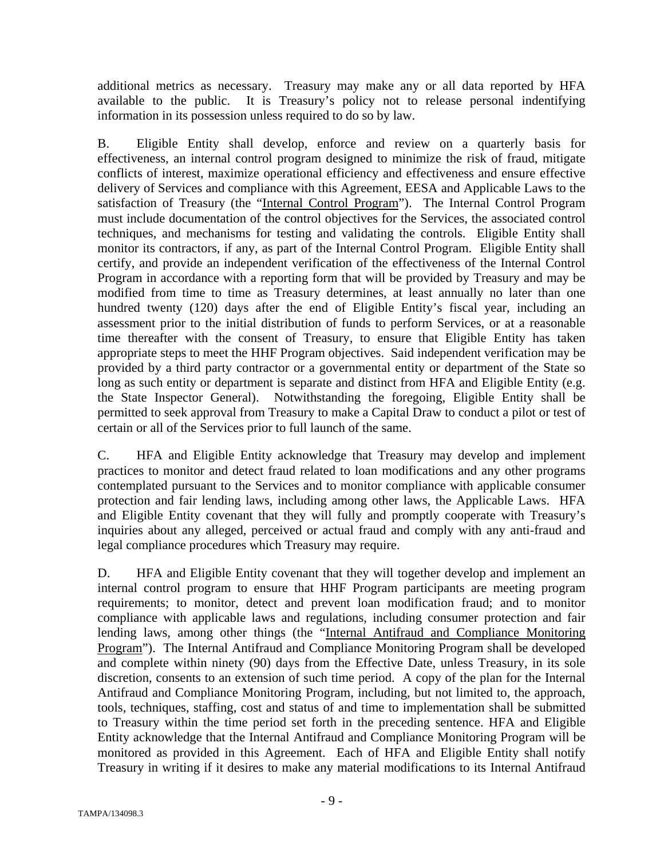additional metrics as necessary. Treasury may make any or all data reported by HFA available to the public. It is Treasury's policy not to release personal indentifying information in its possession unless required to do so by law.

B. Eligible Entity shall develop, enforce and review on a quarterly basis for effectiveness, an internal control program designed to minimize the risk of fraud, mitigate conflicts of interest, maximize operational efficiency and effectiveness and ensure effective delivery of Services and compliance with this Agreement, EESA and Applicable Laws to the satisfaction of Treasury (the "Internal Control Program"). The Internal Control Program must include documentation of the control objectives for the Services, the associated control techniques, and mechanisms for testing and validating the controls. Eligible Entity shall monitor its contractors, if any, as part of the Internal Control Program. Eligible Entity shall certify, and provide an independent verification of the effectiveness of the Internal Control Program in accordance with a reporting form that will be provided by Treasury and may be modified from time to time as Treasury determines, at least annually no later than one hundred twenty (120) days after the end of Eligible Entity's fiscal year, including an assessment prior to the initial distribution of funds to perform Services, or at a reasonable time thereafter with the consent of Treasury, to ensure that Eligible Entity has taken appropriate steps to meet the HHF Program objectives. Said independent verification may be provided by a third party contractor or a governmental entity or department of the State so long as such entity or department is separate and distinct from HFA and Eligible Entity (e.g. the State Inspector General). Notwithstanding the foregoing, Eligible Entity shall be permitted to seek approval from Treasury to make a Capital Draw to conduct a pilot or test of certain or all of the Services prior to full launch of the same.

C. HFA and Eligible Entity acknowledge that Treasury may develop and implement practices to monitor and detect fraud related to loan modifications and any other programs contemplated pursuant to the Services and to monitor compliance with applicable consumer protection and fair lending laws, including among other laws, the Applicable Laws. HFA and Eligible Entity covenant that they will fully and promptly cooperate with Treasury's inquiries about any alleged, perceived or actual fraud and comply with any anti-fraud and legal compliance procedures which Treasury may require.

D. HFA and Eligible Entity covenant that they will together develop and implement an internal control program to ensure that HHF Program participants are meeting program requirements; to monitor, detect and prevent loan modification fraud; and to monitor compliance with applicable laws and regulations, including consumer protection and fair lending laws, among other things (the "Internal Antifraud and Compliance Monitoring Program"). The Internal Antifraud and Compliance Monitoring Program shall be developed and complete within ninety (90) days from the Effective Date, unless Treasury, in its sole discretion, consents to an extension of such time period. A copy of the plan for the Internal Antifraud and Compliance Monitoring Program, including, but not limited to, the approach, tools, techniques, staffing, cost and status of and time to implementation shall be submitted to Treasury within the time period set forth in the preceding sentence. HFA and Eligible Entity acknowledge that the Internal Antifraud and Compliance Monitoring Program will be monitored as provided in this Agreement. Each of HFA and Eligible Entity shall notify Treasury in writing if it desires to make any material modifications to its Internal Antifraud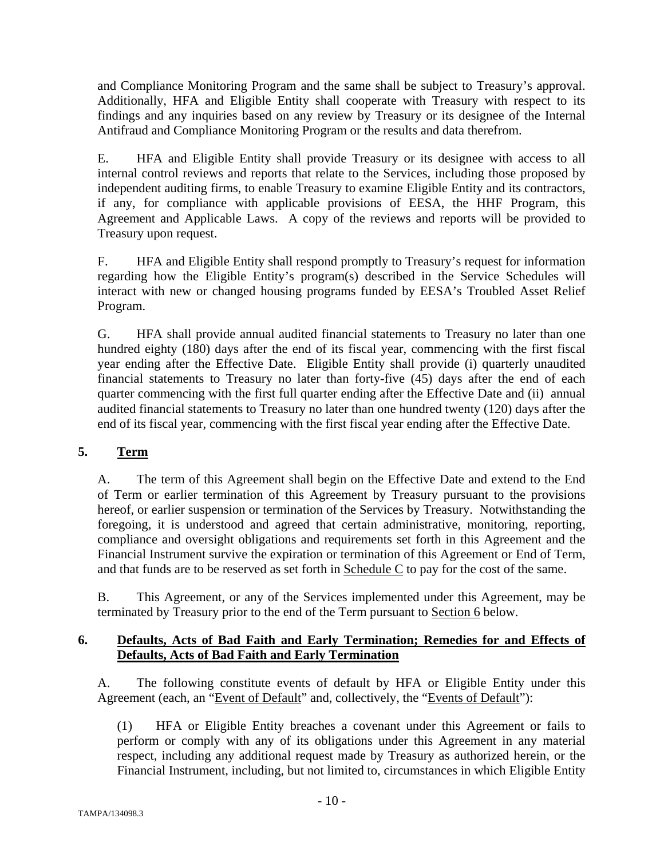and Compliance Monitoring Program and the same shall be subject to Treasury's approval. Additionally, HFA and Eligible Entity shall cooperate with Treasury with respect to its findings and any inquiries based on any review by Treasury or its designee of the Internal Antifraud and Compliance Monitoring Program or the results and data therefrom.

E. HFA and Eligible Entity shall provide Treasury or its designee with access to all internal control reviews and reports that relate to the Services, including those proposed by independent auditing firms, to enable Treasury to examine Eligible Entity and its contractors, if any, for compliance with applicable provisions of EESA, the HHF Program, this Agreement and Applicable Laws. A copy of the reviews and reports will be provided to Treasury upon request.

F. HFA and Eligible Entity shall respond promptly to Treasury's request for information regarding how the Eligible Entity's program(s) described in the Service Schedules will interact with new or changed housing programs funded by EESA's Troubled Asset Relief Program.

G. HFA shall provide annual audited financial statements to Treasury no later than one hundred eighty (180) days after the end of its fiscal year, commencing with the first fiscal year ending after the Effective Date. Eligible Entity shall provide (i) quarterly unaudited financial statements to Treasury no later than forty-five (45) days after the end of each quarter commencing with the first full quarter ending after the Effective Date and (ii) annual audited financial statements to Treasury no later than one hundred twenty (120) days after the end of its fiscal year, commencing with the first fiscal year ending after the Effective Date.

## **5. Term**

A. The term of this Agreement shall begin on the Effective Date and extend to the End of Term or earlier termination of this Agreement by Treasury pursuant to the provisions hereof, or earlier suspension or termination of the Services by Treasury. Notwithstanding the foregoing, it is understood and agreed that certain administrative, monitoring, reporting, compliance and oversight obligations and requirements set forth in this Agreement and the Financial Instrument survive the expiration or termination of this Agreement or End of Term, and that funds are to be reserved as set forth in Schedule C to pay for the cost of the same.

B. This Agreement, or any of the Services implemented under this Agreement, may be terminated by Treasury prior to the end of the Term pursuant to Section 6 below.

## **6. Defaults, Acts of Bad Faith and Early Termination; Remedies for and Effects of Defaults, Acts of Bad Faith and Early Termination**

A. The following constitute events of default by HFA or Eligible Entity under this Agreement (each, an "Event of Default" and, collectively, the "Events of Default"):

(1) HFA or Eligible Entity breaches a covenant under this Agreement or fails to perform or comply with any of its obligations under this Agreement in any material respect, including any additional request made by Treasury as authorized herein, or the Financial Instrument, including, but not limited to, circumstances in which Eligible Entity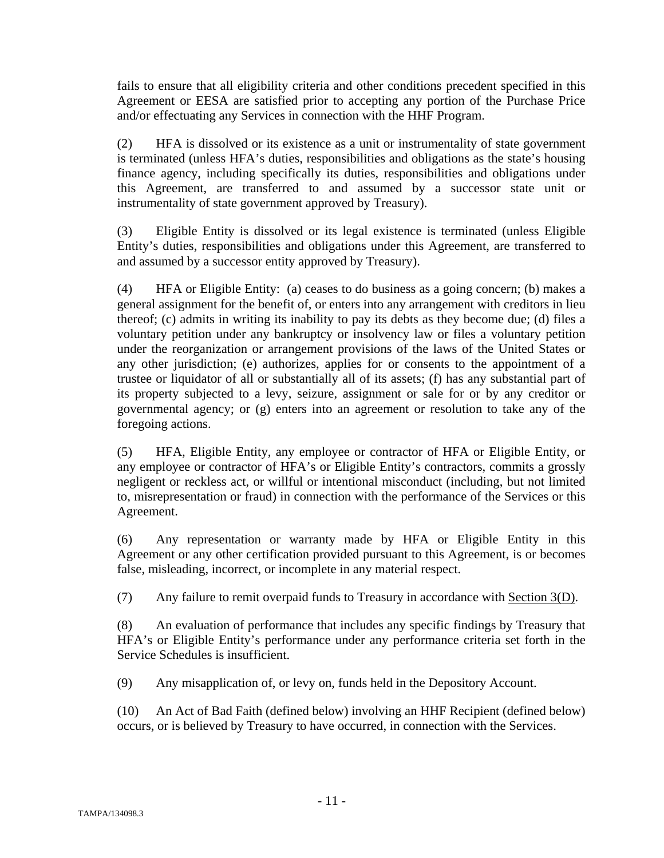fails to ensure that all eligibility criteria and other conditions precedent specified in this Agreement or EESA are satisfied prior to accepting any portion of the Purchase Price and/or effectuating any Services in connection with the HHF Program.

(2) HFA is dissolved or its existence as a unit or instrumentality of state government is terminated (unless HFA's duties, responsibilities and obligations as the state's housing finance agency, including specifically its duties, responsibilities and obligations under this Agreement, are transferred to and assumed by a successor state unit or instrumentality of state government approved by Treasury).

(3) Eligible Entity is dissolved or its legal existence is terminated (unless Eligible Entity's duties, responsibilities and obligations under this Agreement, are transferred to and assumed by a successor entity approved by Treasury).

(4) HFA or Eligible Entity: (a) ceases to do business as a going concern; (b) makes a general assignment for the benefit of, or enters into any arrangement with creditors in lieu thereof; (c) admits in writing its inability to pay its debts as they become due; (d) files a voluntary petition under any bankruptcy or insolvency law or files a voluntary petition under the reorganization or arrangement provisions of the laws of the United States or any other jurisdiction; (e) authorizes, applies for or consents to the appointment of a trustee or liquidator of all or substantially all of its assets; (f) has any substantial part of its property subjected to a levy, seizure, assignment or sale for or by any creditor or governmental agency; or (g) enters into an agreement or resolution to take any of the foregoing actions.

(5) HFA, Eligible Entity, any employee or contractor of HFA or Eligible Entity, or any employee or contractor of HFA's or Eligible Entity's contractors, commits a grossly negligent or reckless act, or willful or intentional misconduct (including, but not limited to, misrepresentation or fraud) in connection with the performance of the Services or this Agreement.

(6) Any representation or warranty made by HFA or Eligible Entity in this Agreement or any other certification provided pursuant to this Agreement, is or becomes false, misleading, incorrect, or incomplete in any material respect.

(7) Any failure to remit overpaid funds to Treasury in accordance with Section 3(D).

(8) An evaluation of performance that includes any specific findings by Treasury that HFA's or Eligible Entity's performance under any performance criteria set forth in the Service Schedules is insufficient.

(9) Any misapplication of, or levy on, funds held in the Depository Account.

(10) An Act of Bad Faith (defined below) involving an HHF Recipient (defined below) occurs, or is believed by Treasury to have occurred, in connection with the Services.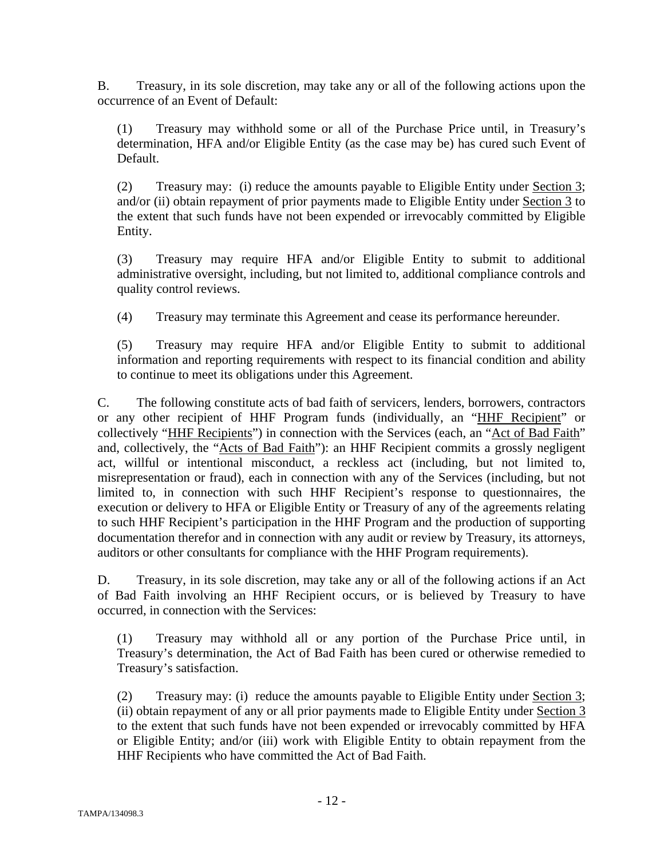B. Treasury, in its sole discretion, may take any or all of the following actions upon the occurrence of an Event of Default:

(1) Treasury may withhold some or all of the Purchase Price until, in Treasury's determination, HFA and/or Eligible Entity (as the case may be) has cured such Event of Default.

(2) Treasury may: (i) reduce the amounts payable to Eligible Entity under Section 3; and/or (ii) obtain repayment of prior payments made to Eligible Entity under Section 3 to the extent that such funds have not been expended or irrevocably committed by Eligible Entity.

(3) Treasury may require HFA and/or Eligible Entity to submit to additional administrative oversight, including, but not limited to, additional compliance controls and quality control reviews.

(4) Treasury may terminate this Agreement and cease its performance hereunder.

(5) Treasury may require HFA and/or Eligible Entity to submit to additional information and reporting requirements with respect to its financial condition and ability to continue to meet its obligations under this Agreement.

C. The following constitute acts of bad faith of servicers, lenders, borrowers, contractors or any other recipient of HHF Program funds (individually, an "HHF Recipient" or collectively "HHF Recipients") in connection with the Services (each, an "Act of Bad Faith" and, collectively, the "Acts of Bad Faith"): an HHF Recipient commits a grossly negligent act, willful or intentional misconduct, a reckless act (including, but not limited to, misrepresentation or fraud), each in connection with any of the Services (including, but not limited to, in connection with such HHF Recipient's response to questionnaires, the execution or delivery to HFA or Eligible Entity or Treasury of any of the agreements relating to such HHF Recipient's participation in the HHF Program and the production of supporting documentation therefor and in connection with any audit or review by Treasury, its attorneys, auditors or other consultants for compliance with the HHF Program requirements).

D. Treasury, in its sole discretion, may take any or all of the following actions if an Act of Bad Faith involving an HHF Recipient occurs, or is believed by Treasury to have occurred, in connection with the Services:

(1) Treasury may withhold all or any portion of the Purchase Price until, in Treasury's determination, the Act of Bad Faith has been cured or otherwise remedied to Treasury's satisfaction.

(2) Treasury may: (i) reduce the amounts payable to Eligible Entity under Section 3; (ii) obtain repayment of any or all prior payments made to Eligible Entity under Section 3 to the extent that such funds have not been expended or irrevocably committed by HFA or Eligible Entity; and/or (iii) work with Eligible Entity to obtain repayment from the HHF Recipients who have committed the Act of Bad Faith.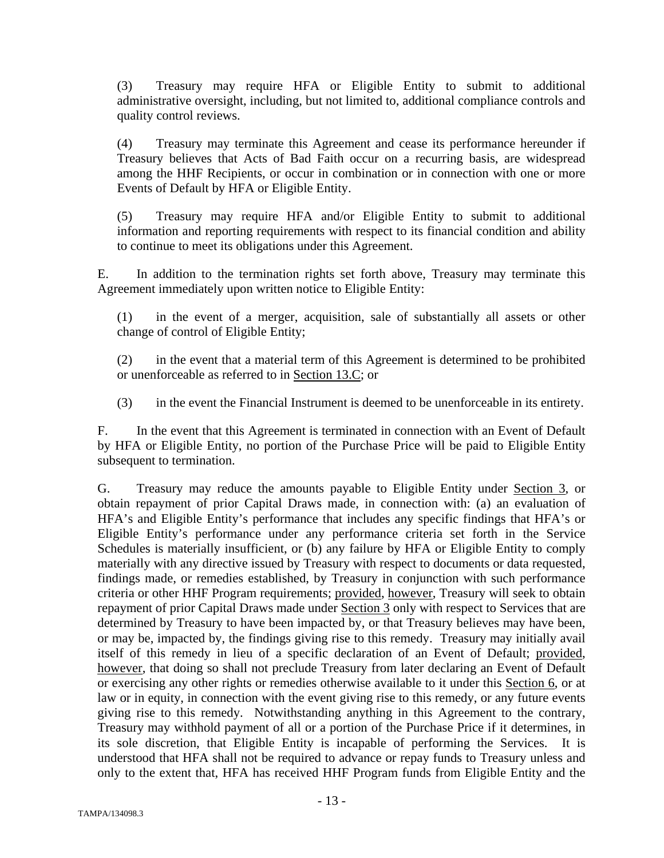(3) Treasury may require HFA or Eligible Entity to submit to additional administrative oversight, including, but not limited to, additional compliance controls and quality control reviews.

(4) Treasury may terminate this Agreement and cease its performance hereunder if Treasury believes that Acts of Bad Faith occur on a recurring basis, are widespread among the HHF Recipients, or occur in combination or in connection with one or more Events of Default by HFA or Eligible Entity.

(5) Treasury may require HFA and/or Eligible Entity to submit to additional information and reporting requirements with respect to its financial condition and ability to continue to meet its obligations under this Agreement.

E. In addition to the termination rights set forth above, Treasury may terminate this Agreement immediately upon written notice to Eligible Entity:

(1) in the event of a merger, acquisition, sale of substantially all assets or other change of control of Eligible Entity;

(2) in the event that a material term of this Agreement is determined to be prohibited or unenforceable as referred to in Section 13.C; or

(3) in the event the Financial Instrument is deemed to be unenforceable in its entirety.

F. In the event that this Agreement is terminated in connection with an Event of Default by HFA or Eligible Entity, no portion of the Purchase Price will be paid to Eligible Entity subsequent to termination.

G. Treasury may reduce the amounts payable to Eligible Entity under Section 3, or obtain repayment of prior Capital Draws made, in connection with: (a) an evaluation of HFA's and Eligible Entity's performance that includes any specific findings that HFA's or Eligible Entity's performance under any performance criteria set forth in the Service Schedules is materially insufficient, or (b) any failure by HFA or Eligible Entity to comply materially with any directive issued by Treasury with respect to documents or data requested, findings made, or remedies established, by Treasury in conjunction with such performance criteria or other HHF Program requirements; provided, however, Treasury will seek to obtain repayment of prior Capital Draws made under Section 3 only with respect to Services that are determined by Treasury to have been impacted by, or that Treasury believes may have been, or may be, impacted by, the findings giving rise to this remedy. Treasury may initially avail itself of this remedy in lieu of a specific declaration of an Event of Default; provided, however, that doing so shall not preclude Treasury from later declaring an Event of Default or exercising any other rights or remedies otherwise available to it under this Section 6, or at law or in equity, in connection with the event giving rise to this remedy, or any future events giving rise to this remedy. Notwithstanding anything in this Agreement to the contrary, Treasury may withhold payment of all or a portion of the Purchase Price if it determines, in its sole discretion, that Eligible Entity is incapable of performing the Services. It is understood that HFA shall not be required to advance or repay funds to Treasury unless and only to the extent that, HFA has received HHF Program funds from Eligible Entity and the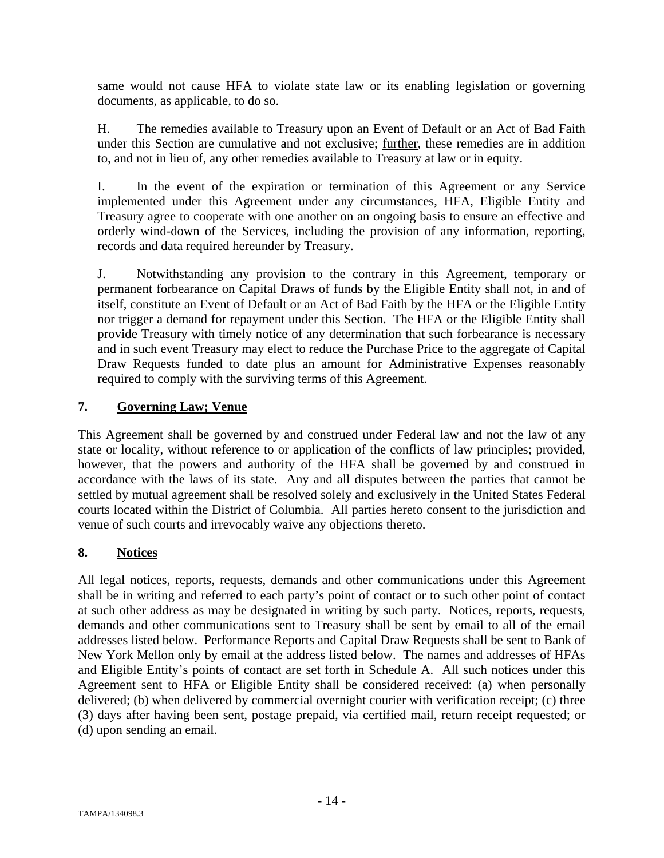same would not cause HFA to violate state law or its enabling legislation or governing documents, as applicable, to do so.

H. The remedies available to Treasury upon an Event of Default or an Act of Bad Faith under this Section are cumulative and not exclusive; further, these remedies are in addition to, and not in lieu of, any other remedies available to Treasury at law or in equity.

I. In the event of the expiration or termination of this Agreement or any Service implemented under this Agreement under any circumstances, HFA, Eligible Entity and Treasury agree to cooperate with one another on an ongoing basis to ensure an effective and orderly wind-down of the Services, including the provision of any information, reporting, records and data required hereunder by Treasury.

J. Notwithstanding any provision to the contrary in this Agreement, temporary or permanent forbearance on Capital Draws of funds by the Eligible Entity shall not, in and of itself, constitute an Event of Default or an Act of Bad Faith by the HFA or the Eligible Entity nor trigger a demand for repayment under this Section. The HFA or the Eligible Entity shall provide Treasury with timely notice of any determination that such forbearance is necessary and in such event Treasury may elect to reduce the Purchase Price to the aggregate of Capital Draw Requests funded to date plus an amount for Administrative Expenses reasonably required to comply with the surviving terms of this Agreement.

## **7. Governing Law; Venue**

This Agreement shall be governed by and construed under Federal law and not the law of any state or locality, without reference to or application of the conflicts of law principles; provided, however, that the powers and authority of the HFA shall be governed by and construed in accordance with the laws of its state. Any and all disputes between the parties that cannot be settled by mutual agreement shall be resolved solely and exclusively in the United States Federal courts located within the District of Columbia. All parties hereto consent to the jurisdiction and venue of such courts and irrevocably waive any objections thereto.

## **8. Notices**

All legal notices, reports, requests, demands and other communications under this Agreement shall be in writing and referred to each party's point of contact or to such other point of contact at such other address as may be designated in writing by such party. Notices, reports, requests, demands and other communications sent to Treasury shall be sent by email to all of the email addresses listed below. Performance Reports and Capital Draw Requests shall be sent to Bank of New York Mellon only by email at the address listed below. The names and addresses of HFAs and Eligible Entity's points of contact are set forth in Schedule A. All such notices under this Agreement sent to HFA or Eligible Entity shall be considered received: (a) when personally delivered; (b) when delivered by commercial overnight courier with verification receipt; (c) three (3) days after having been sent, postage prepaid, via certified mail, return receipt requested; or (d) upon sending an email.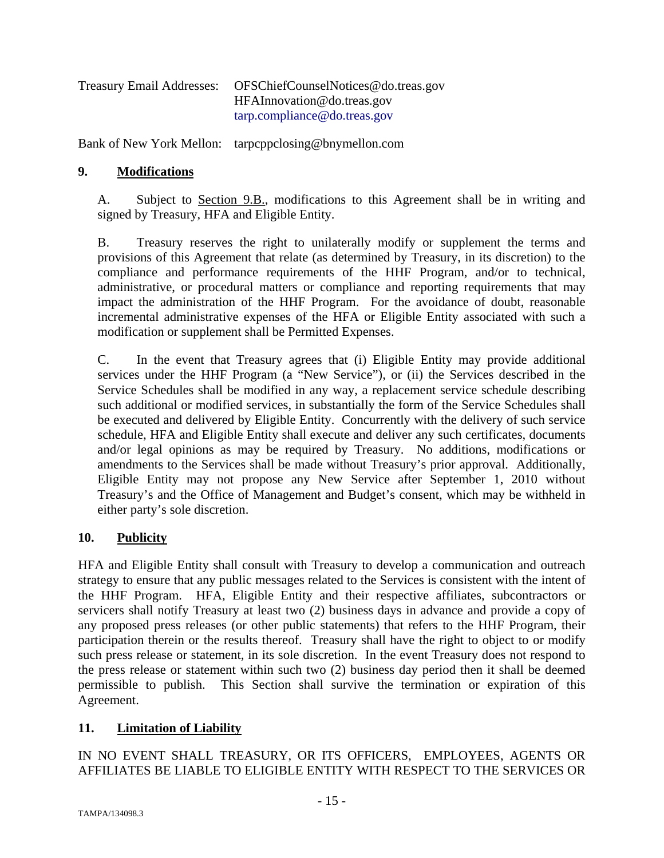| <b>Treasury Email Addresses:</b> | OFSChiefCounselNotices@do.treas.gov |
|----------------------------------|-------------------------------------|
|                                  | HFAInnovation@do.treas.gov          |
|                                  | tarp.compline@do.treas.gov          |

Bank of New York Mellon: tarpcppclosing@bnymellon.com

#### **9. Modifications**

A. Subject to Section 9.B., modifications to this Agreement shall be in writing and signed by Treasury, HFA and Eligible Entity.

B. Treasury reserves the right to unilaterally modify or supplement the terms and provisions of this Agreement that relate (as determined by Treasury, in its discretion) to the compliance and performance requirements of the HHF Program, and/or to technical, administrative, or procedural matters or compliance and reporting requirements that may impact the administration of the HHF Program. For the avoidance of doubt, reasonable incremental administrative expenses of the HFA or Eligible Entity associated with such a modification or supplement shall be Permitted Expenses.

C. In the event that Treasury agrees that (i) Eligible Entity may provide additional services under the HHF Program (a "New Service"), or (ii) the Services described in the Service Schedules shall be modified in any way, a replacement service schedule describing such additional or modified services, in substantially the form of the Service Schedules shall be executed and delivered by Eligible Entity. Concurrently with the delivery of such service schedule, HFA and Eligible Entity shall execute and deliver any such certificates, documents and/or legal opinions as may be required by Treasury. No additions, modifications or amendments to the Services shall be made without Treasury's prior approval. Additionally, Eligible Entity may not propose any New Service after September 1, 2010 without Treasury's and the Office of Management and Budget's consent, which may be withheld in either party's sole discretion.

## **10. Publicity**

HFA and Eligible Entity shall consult with Treasury to develop a communication and outreach strategy to ensure that any public messages related to the Services is consistent with the intent of the HHF Program. HFA, Eligible Entity and their respective affiliates, subcontractors or servicers shall notify Treasury at least two (2) business days in advance and provide a copy of any proposed press releases (or other public statements) that refers to the HHF Program, their participation therein or the results thereof. Treasury shall have the right to object to or modify such press release or statement, in its sole discretion. In the event Treasury does not respond to the press release or statement within such two (2) business day period then it shall be deemed permissible to publish. This Section shall survive the termination or expiration of this Agreement.

## **11. Limitation of Liability**

IN NO EVENT SHALL TREASURY, OR ITS OFFICERS, EMPLOYEES, AGENTS OR AFFILIATES BE LIABLE TO ELIGIBLE ENTITY WITH RESPECT TO THE SERVICES OR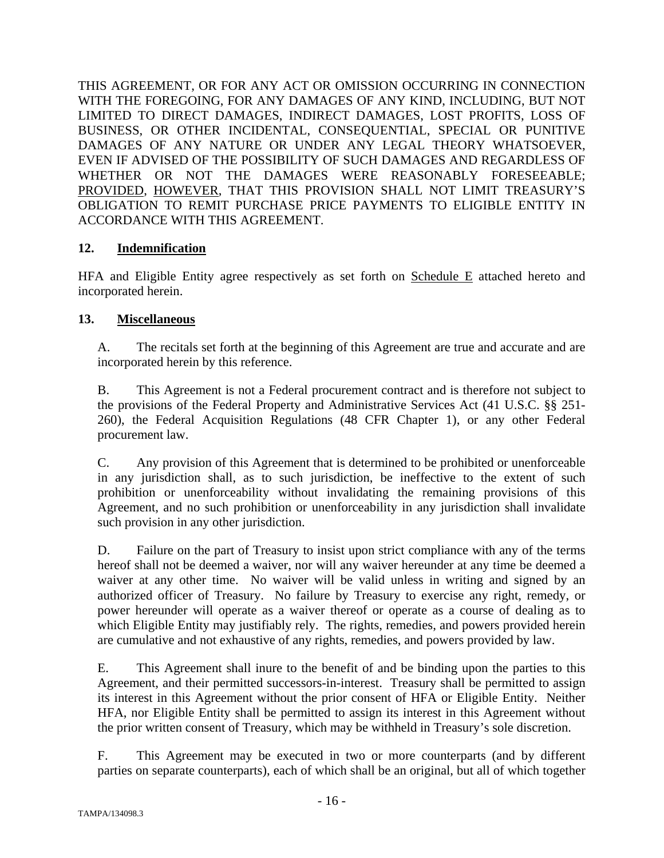THIS AGREEMENT, OR FOR ANY ACT OR OMISSION OCCURRING IN CONNECTION WITH THE FOREGOING, FOR ANY DAMAGES OF ANY KIND, INCLUDING, BUT NOT LIMITED TO DIRECT DAMAGES, INDIRECT DAMAGES, LOST PROFITS, LOSS OF BUSINESS, OR OTHER INCIDENTAL, CONSEQUENTIAL, SPECIAL OR PUNITIVE DAMAGES OF ANY NATURE OR UNDER ANY LEGAL THEORY WHATSOEVER, EVEN IF ADVISED OF THE POSSIBILITY OF SUCH DAMAGES AND REGARDLESS OF WHETHER OR NOT THE DAMAGES WERE REASONABLY FORESEEABLE; PROVIDED, HOWEVER, THAT THIS PROVISION SHALL NOT LIMIT TREASURY'S OBLIGATION TO REMIT PURCHASE PRICE PAYMENTS TO ELIGIBLE ENTITY IN ACCORDANCE WITH THIS AGREEMENT.

## **12. Indemnification**

HFA and Eligible Entity agree respectively as set forth on Schedule E attached hereto and incorporated herein.

## **13. Miscellaneous**

A. The recitals set forth at the beginning of this Agreement are true and accurate and are incorporated herein by this reference.

B. This Agreement is not a Federal procurement contract and is therefore not subject to the provisions of the Federal Property and Administrative Services Act (41 U.S.C. §§ 251- 260), the Federal Acquisition Regulations (48 CFR Chapter 1), or any other Federal procurement law.

C. Any provision of this Agreement that is determined to be prohibited or unenforceable in any jurisdiction shall, as to such jurisdiction, be ineffective to the extent of such prohibition or unenforceability without invalidating the remaining provisions of this Agreement, and no such prohibition or unenforceability in any jurisdiction shall invalidate such provision in any other jurisdiction.

D. Failure on the part of Treasury to insist upon strict compliance with any of the terms hereof shall not be deemed a waiver, nor will any waiver hereunder at any time be deemed a waiver at any other time. No waiver will be valid unless in writing and signed by an authorized officer of Treasury. No failure by Treasury to exercise any right, remedy, or power hereunder will operate as a waiver thereof or operate as a course of dealing as to which Eligible Entity may justifiably rely. The rights, remedies, and powers provided herein are cumulative and not exhaustive of any rights, remedies, and powers provided by law.

E. This Agreement shall inure to the benefit of and be binding upon the parties to this Agreement, and their permitted successors-in-interest. Treasury shall be permitted to assign its interest in this Agreement without the prior consent of HFA or Eligible Entity. Neither HFA, nor Eligible Entity shall be permitted to assign its interest in this Agreement without the prior written consent of Treasury, which may be withheld in Treasury's sole discretion.

F. This Agreement may be executed in two or more counterparts (and by different parties on separate counterparts), each of which shall be an original, but all of which together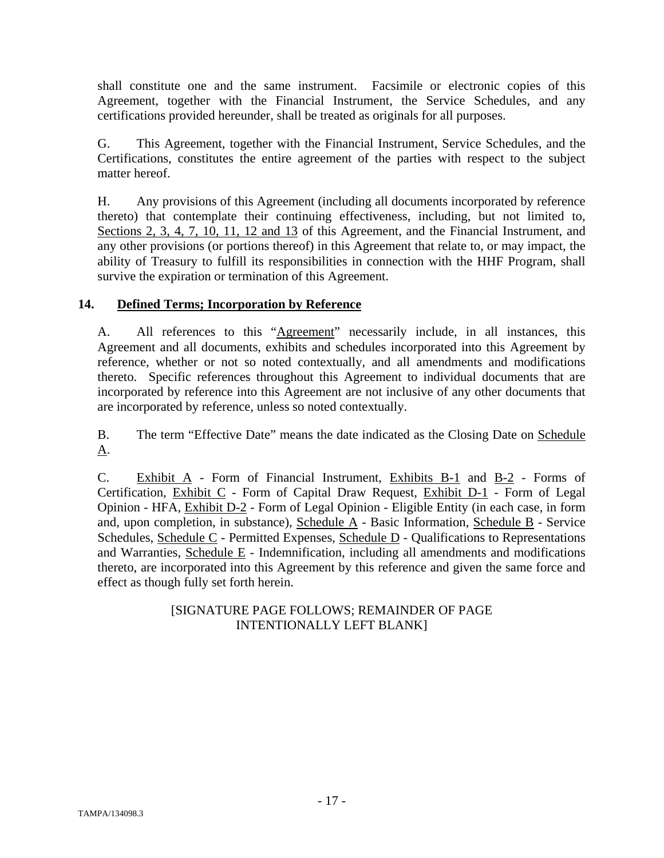shall constitute one and the same instrument. Facsimile or electronic copies of this Agreement, together with the Financial Instrument, the Service Schedules, and any certifications provided hereunder, shall be treated as originals for all purposes.

G. This Agreement, together with the Financial Instrument, Service Schedules, and the Certifications, constitutes the entire agreement of the parties with respect to the subject matter hereof.

H. Any provisions of this Agreement (including all documents incorporated by reference thereto) that contemplate their continuing effectiveness, including, but not limited to, Sections 2, 3, 4, 7, 10, 11, 12 and 13 of this Agreement, and the Financial Instrument, and any other provisions (or portions thereof) in this Agreement that relate to, or may impact, the ability of Treasury to fulfill its responsibilities in connection with the HHF Program, shall survive the expiration or termination of this Agreement.

## **14. Defined Terms; Incorporation by Reference**

A. All references to this "Agreement" necessarily include, in all instances, this Agreement and all documents, exhibits and schedules incorporated into this Agreement by reference, whether or not so noted contextually, and all amendments and modifications thereto. Specific references throughout this Agreement to individual documents that are incorporated by reference into this Agreement are not inclusive of any other documents that are incorporated by reference, unless so noted contextually.

B. The term "Effective Date" means the date indicated as the Closing Date on Schedule A.

C. Exhibit A - Form of Financial Instrument, Exhibits B-1 and B-2 - Forms of Certification, Exhibit C - Form of Capital Draw Request, Exhibit D-1 - Form of Legal Opinion - HFA, Exhibit D-2 - Form of Legal Opinion - Eligible Entity (in each case, in form and, upon completion, in substance), Schedule A - Basic Information, Schedule B - Service Schedules, Schedule C - Permitted Expenses, Schedule D - Qualifications to Representations and Warranties, Schedule E - Indemnification, including all amendments and modifications thereto, are incorporated into this Agreement by this reference and given the same force and effect as though fully set forth herein.

## [SIGNATURE PAGE FOLLOWS; REMAINDER OF PAGE INTENTIONALLY LEFT BLANK]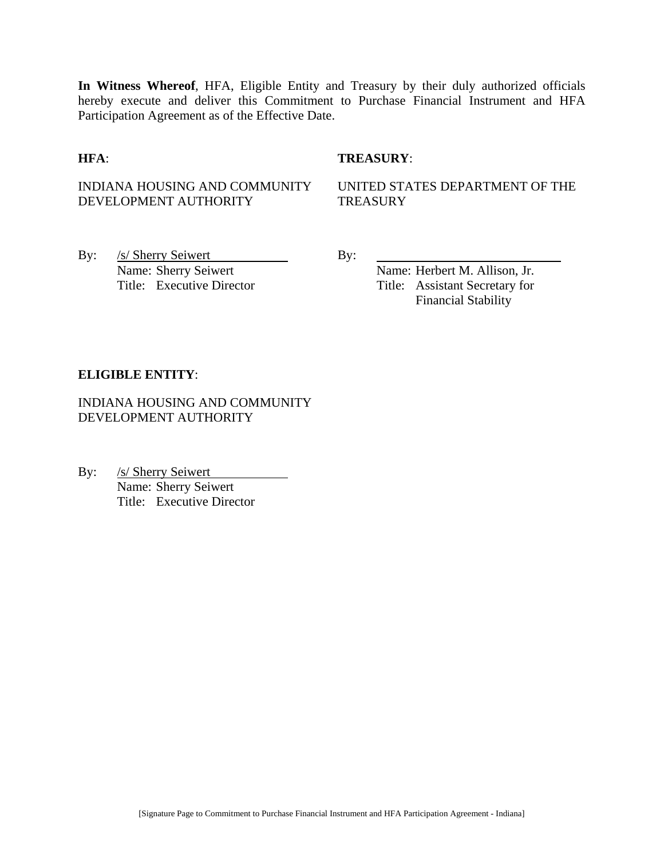**In Witness Whereof**, HFA, Eligible Entity and Treasury by their duly authorized officials hereby execute and deliver this Commitment to Purchase Financial Instrument and HFA Participation Agreement as of the Effective Date.

## **HFA**: **TREASURY**:

#### INDIANA HOUSING AND COMMUNITY DEVELOPMENT AUTHORITY

#### UNITED STATES DEPARTMENT OF THE **TREASURY**

By: <u>/s/ Sherry Seiwert</u> By: Name: Sherry Seiwert By:

Name: Herbert M. Allison, Jr. Title: Executive Director Title: Assistant Secretary for Financial Stability

#### **ELIGIBLE ENTITY**:

INDIANA HOUSING AND COMMUNITY DEVELOPMENT AUTHORITY

By: /s/ Sherry Seiwert Name: Sherry Seiwert Title: Executive Director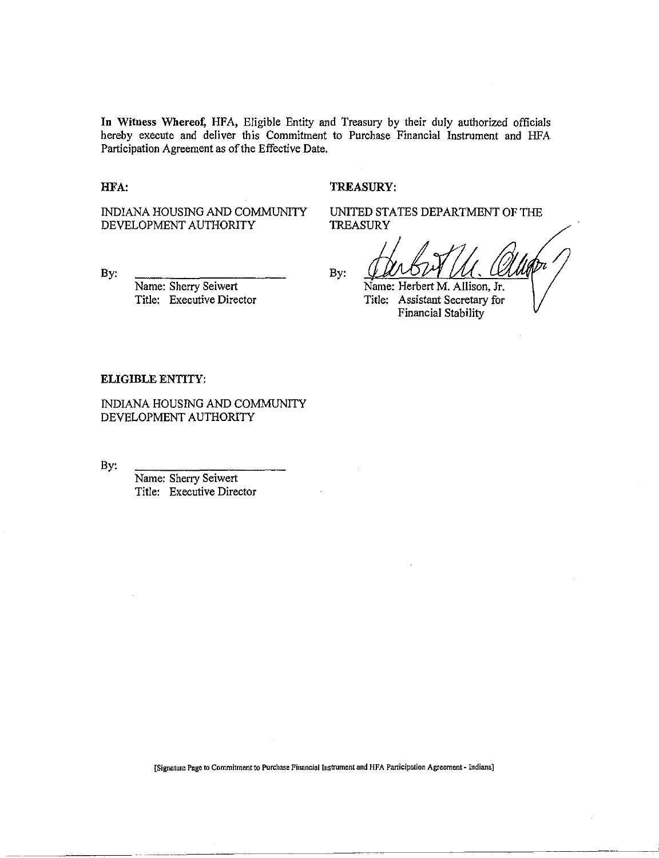**In** Witness Whereof, HFA, Eligible Entity and Treasury by their duly authorized officials hereby execute and deliver this Commitment to Purchase Financial Instrument and HFA Participation Agreement as of the Effective Date.

#### HFA:

#### TREASURY:

INDIANA HOUSING AND COMMUNITY DEVELOPMENT AUTHORITY

By:

Name: Sherry Seiwert Title: Executive Director By:

**TREASURY** Name: Herbert M. Allison, Jr. Title: Assistant Secretary for

Financial Stability

UNITED STATES DEPARTMENT OF THE

#### **ELIGIBLE** ENTITY:

INDIANA HOUSING AND COMMUNITY DEVELOPMENT AUTHORITY

By:

Name: Sherry Seiwert Title: Executive Director

**[Signature Page to Commitment to Purchase Financial Instrument and HFA Participation Agreement - Indiana]**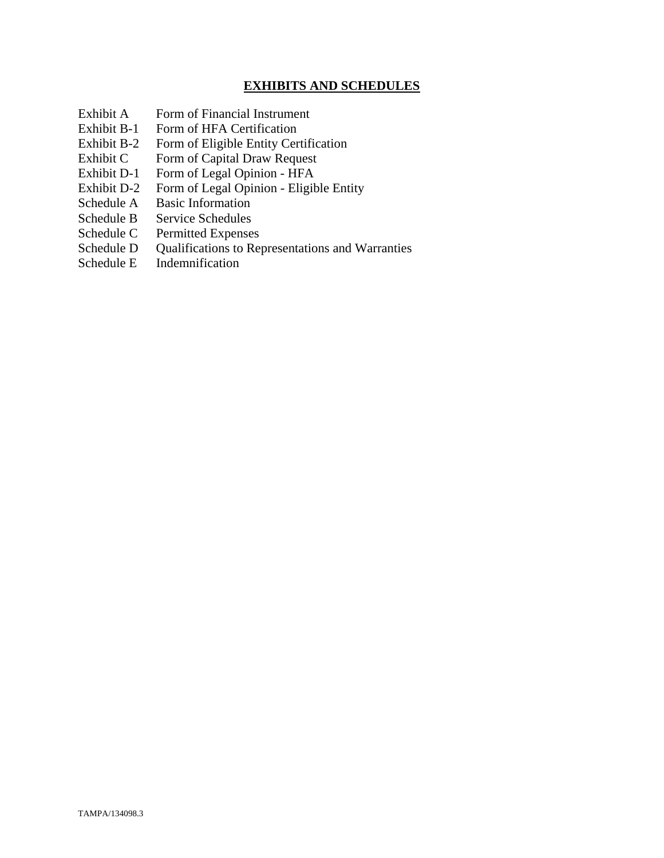## **EXHIBITS AND SCHEDULES**

- Exhibit A Form of Financial Instrument
- Exhibit B-1 Form of HFA Certification
- Exhibit B-2 Form of Eligible Entity Certification
- Exhibit C Form of Capital Draw Request
- Exhibit D-1 Form of Legal Opinion HFA
- Exhibit D-2 Form of Legal Opinion Eligible Entity
- Schedule A Basic Information
- Schedule B Service Schedules
- Schedule C Permitted Expenses
- Schedule D Qualifications to Representations and Warranties
- Schedule E Indemnification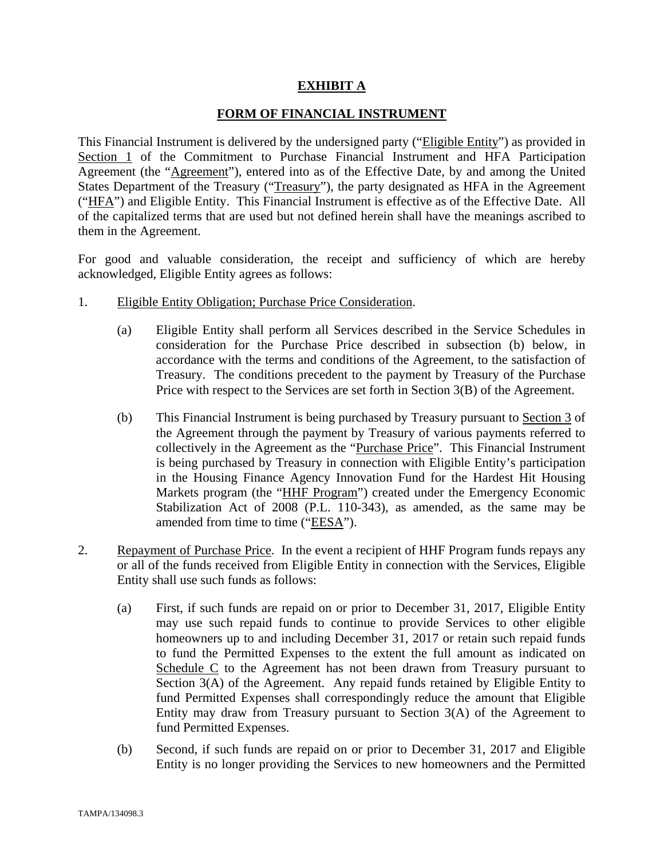#### **EXHIBIT A**

#### **FORM OF FINANCIAL INSTRUMENT**

This Financial Instrument is delivered by the undersigned party ("Eligible Entity") as provided in Section 1 of the Commitment to Purchase Financial Instrument and HFA Participation Agreement (the "Agreement"), entered into as of the Effective Date, by and among the United States Department of the Treasury ("Treasury"), the party designated as HFA in the Agreement ("HFA") and Eligible Entity. This Financial Instrument is effective as of the Effective Date. All of the capitalized terms that are used but not defined herein shall have the meanings ascribed to them in the Agreement.

For good and valuable consideration, the receipt and sufficiency of which are hereby acknowledged, Eligible Entity agrees as follows:

- 1. Eligible Entity Obligation; Purchase Price Consideration.
	- (a) Eligible Entity shall perform all Services described in the Service Schedules in consideration for the Purchase Price described in subsection (b) below, in accordance with the terms and conditions of the Agreement, to the satisfaction of Treasury. The conditions precedent to the payment by Treasury of the Purchase Price with respect to the Services are set forth in Section 3(B) of the Agreement.
	- (b) This Financial Instrument is being purchased by Treasury pursuant to Section 3 of the Agreement through the payment by Treasury of various payments referred to collectively in the Agreement as the "Purchase Price". This Financial Instrument is being purchased by Treasury in connection with Eligible Entity's participation in the Housing Finance Agency Innovation Fund for the Hardest Hit Housing Markets program (the "HHF Program") created under the Emergency Economic Stabilization Act of 2008 (P.L. 110-343), as amended, as the same may be amended from time to time ("EESA").
- 2. Repayment of Purchase Price. In the event a recipient of HHF Program funds repays any or all of the funds received from Eligible Entity in connection with the Services, Eligible Entity shall use such funds as follows:
	- (a) First, if such funds are repaid on or prior to December 31, 2017, Eligible Entity may use such repaid funds to continue to provide Services to other eligible homeowners up to and including December 31, 2017 or retain such repaid funds to fund the Permitted Expenses to the extent the full amount as indicated on Schedule C to the Agreement has not been drawn from Treasury pursuant to Section 3(A) of the Agreement. Any repaid funds retained by Eligible Entity to fund Permitted Expenses shall correspondingly reduce the amount that Eligible Entity may draw from Treasury pursuant to Section 3(A) of the Agreement to fund Permitted Expenses.
	- (b) Second, if such funds are repaid on or prior to December 31, 2017 and Eligible Entity is no longer providing the Services to new homeowners and the Permitted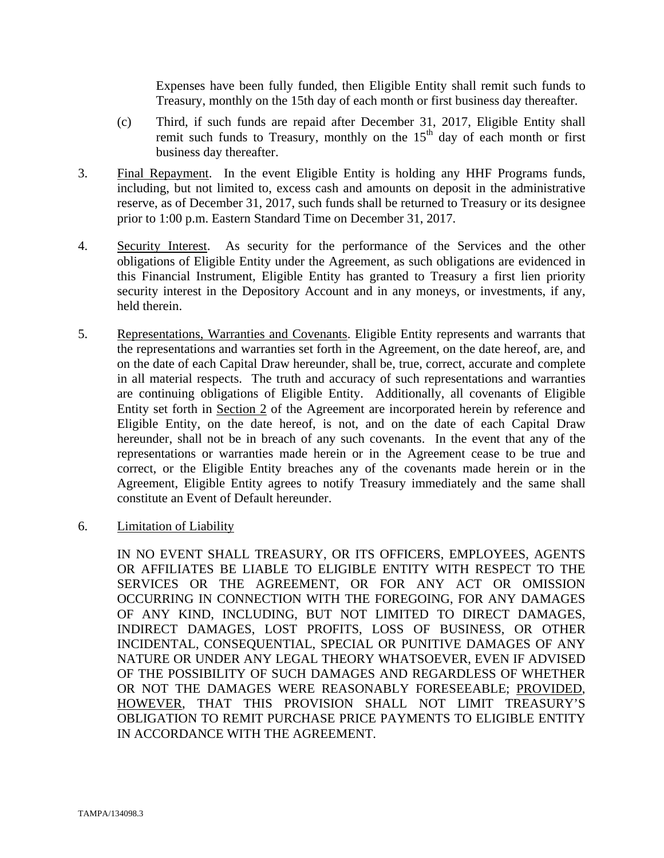Expenses have been fully funded, then Eligible Entity shall remit such funds to Treasury, monthly on the 15th day of each month or first business day thereafter.

- (c) Third, if such funds are repaid after December 31, 2017, Eligible Entity shall remit such funds to Treasury, monthly on the  $15<sup>th</sup>$  day of each month or first business day thereafter.
- 3. Final Repayment. In the event Eligible Entity is holding any HHF Programs funds, including, but not limited to, excess cash and amounts on deposit in the administrative reserve, as of December 31, 2017, such funds shall be returned to Treasury or its designee prior to 1:00 p.m. Eastern Standard Time on December 31, 2017.
- 4. Security Interest. As security for the performance of the Services and the other obligations of Eligible Entity under the Agreement, as such obligations are evidenced in this Financial Instrument, Eligible Entity has granted to Treasury a first lien priority security interest in the Depository Account and in any moneys, or investments, if any, held therein.
- 5. Representations, Warranties and Covenants. Eligible Entity represents and warrants that the representations and warranties set forth in the Agreement, on the date hereof, are, and on the date of each Capital Draw hereunder, shall be, true, correct, accurate and complete in all material respects. The truth and accuracy of such representations and warranties are continuing obligations of Eligible Entity. Additionally, all covenants of Eligible Entity set forth in Section 2 of the Agreement are incorporated herein by reference and Eligible Entity, on the date hereof, is not, and on the date of each Capital Draw hereunder, shall not be in breach of any such covenants. In the event that any of the representations or warranties made herein or in the Agreement cease to be true and correct, or the Eligible Entity breaches any of the covenants made herein or in the Agreement, Eligible Entity agrees to notify Treasury immediately and the same shall constitute an Event of Default hereunder.
- 6. Limitation of Liability

IN NO EVENT SHALL TREASURY, OR ITS OFFICERS, EMPLOYEES, AGENTS OR AFFILIATES BE LIABLE TO ELIGIBLE ENTITY WITH RESPECT TO THE SERVICES OR THE AGREEMENT, OR FOR ANY ACT OR OMISSION OCCURRING IN CONNECTION WITH THE FOREGOING, FOR ANY DAMAGES OF ANY KIND, INCLUDING, BUT NOT LIMITED TO DIRECT DAMAGES, INDIRECT DAMAGES, LOST PROFITS, LOSS OF BUSINESS, OR OTHER INCIDENTAL, CONSEQUENTIAL, SPECIAL OR PUNITIVE DAMAGES OF ANY NATURE OR UNDER ANY LEGAL THEORY WHATSOEVER, EVEN IF ADVISED OF THE POSSIBILITY OF SUCH DAMAGES AND REGARDLESS OF WHETHER OR NOT THE DAMAGES WERE REASONABLY FORESEEABLE; PROVIDED, HOWEVER, THAT THIS PROVISION SHALL NOT LIMIT TREASURY'S OBLIGATION TO REMIT PURCHASE PRICE PAYMENTS TO ELIGIBLE ENTITY IN ACCORDANCE WITH THE AGREEMENT.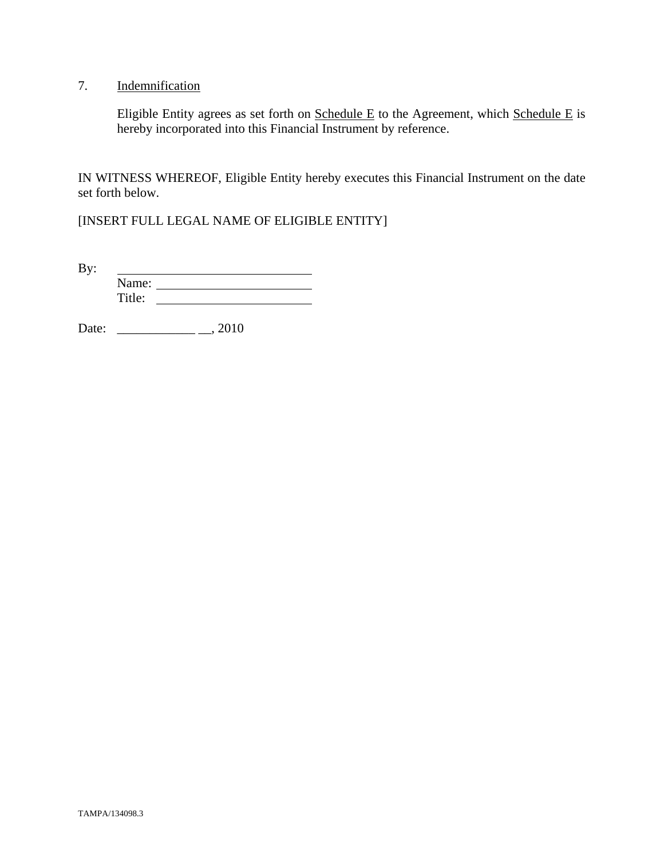## 7. Indemnification

Eligible Entity agrees as set forth on  $S$ chedule E to the Agreement, which  $S$ chedule E is hereby incorporated into this Financial Instrument by reference.

IN WITNESS WHEREOF, Eligible Entity hereby executes this Financial Instrument on the date set forth below.

[INSERT FULL LEGAL NAME OF ELIGIBLE ENTITY]

By: <u> 1989 - Johann Barbara, martin a</u> Name: Title:

Date: \_\_\_\_\_\_\_\_\_\_\_\_ \_\_, 2010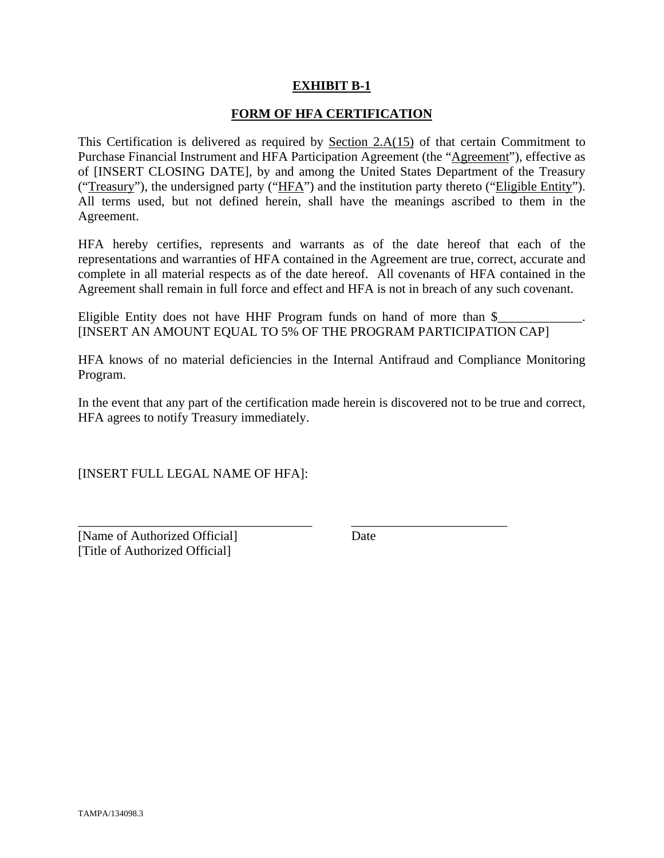#### **EXHIBIT B-1**

#### **FORM OF HFA CERTIFICATION**

This Certification is delivered as required by Section  $2.A(15)$  of that certain Commitment to Purchase Financial Instrument and HFA Participation Agreement (the "Agreement"), effective as of [INSERT CLOSING DATE], by and among the United States Department of the Treasury ("Treasury"), the undersigned party ("HFA") and the institution party thereto ("Eligible Entity"). All terms used, but not defined herein, shall have the meanings ascribed to them in the Agreement.

HFA hereby certifies, represents and warrants as of the date hereof that each of the representations and warranties of HFA contained in the Agreement are true, correct, accurate and complete in all material respects as of the date hereof. All covenants of HFA contained in the Agreement shall remain in full force and effect and HFA is not in breach of any such covenant.

Eligible Entity does not have HHF Program funds on hand of more than  $\frac{1}{2}$ [INSERT AN AMOUNT EQUAL TO 5% OF THE PROGRAM PARTICIPATION CAP]

HFA knows of no material deficiencies in the Internal Antifraud and Compliance Monitoring Program.

In the event that any part of the certification made herein is discovered not to be true and correct, HFA agrees to notify Treasury immediately.

\_\_\_\_\_\_\_\_\_\_\_\_\_\_\_\_\_\_\_\_\_\_\_\_\_\_\_\_\_\_\_\_\_\_\_\_ \_\_\_\_\_\_\_\_\_\_\_\_\_\_\_\_\_\_\_\_\_\_\_\_

[INSERT FULL LEGAL NAME OF HFA]:

[Name of Authorized Official] Date [Title of Authorized Official]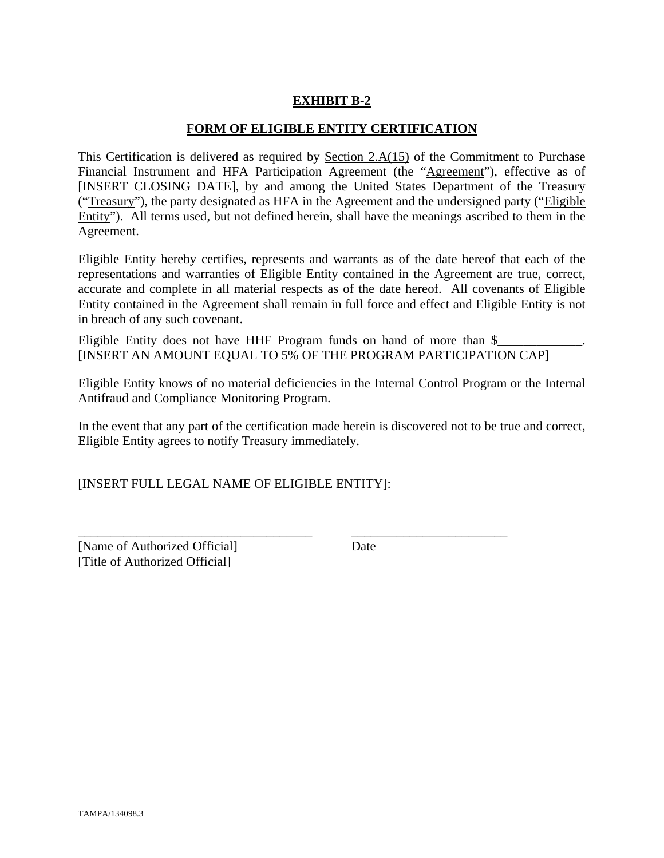## **EXHIBIT B-2**

#### **FORM OF ELIGIBLE ENTITY CERTIFICATION**

This Certification is delivered as required by Section 2.A(15) of the Commitment to Purchase Financial Instrument and HFA Participation Agreement (the "Agreement"), effective as of [INSERT CLOSING DATE], by and among the United States Department of the Treasury ("Treasury"), the party designated as HFA in the Agreement and the undersigned party ("Eligible Entity"). All terms used, but not defined herein, shall have the meanings ascribed to them in the Agreement.

Eligible Entity hereby certifies, represents and warrants as of the date hereof that each of the representations and warranties of Eligible Entity contained in the Agreement are true, correct, accurate and complete in all material respects as of the date hereof. All covenants of Eligible Entity contained in the Agreement shall remain in full force and effect and Eligible Entity is not in breach of any such covenant.

Eligible Entity does not have HHF Program funds on hand of more than  $\$ [INSERT AN AMOUNT EQUAL TO 5% OF THE PROGRAM PARTICIPATION CAP]

Eligible Entity knows of no material deficiencies in the Internal Control Program or the Internal Antifraud and Compliance Monitoring Program.

In the event that any part of the certification made herein is discovered not to be true and correct, Eligible Entity agrees to notify Treasury immediately.

\_\_\_\_\_\_\_\_\_\_\_\_\_\_\_\_\_\_\_\_\_\_\_\_\_\_\_\_\_\_\_\_\_\_\_\_ \_\_\_\_\_\_\_\_\_\_\_\_\_\_\_\_\_\_\_\_\_\_\_\_

[INSERT FULL LEGAL NAME OF ELIGIBLE ENTITY]:

[Name of Authorized Official] Date [Title of Authorized Official]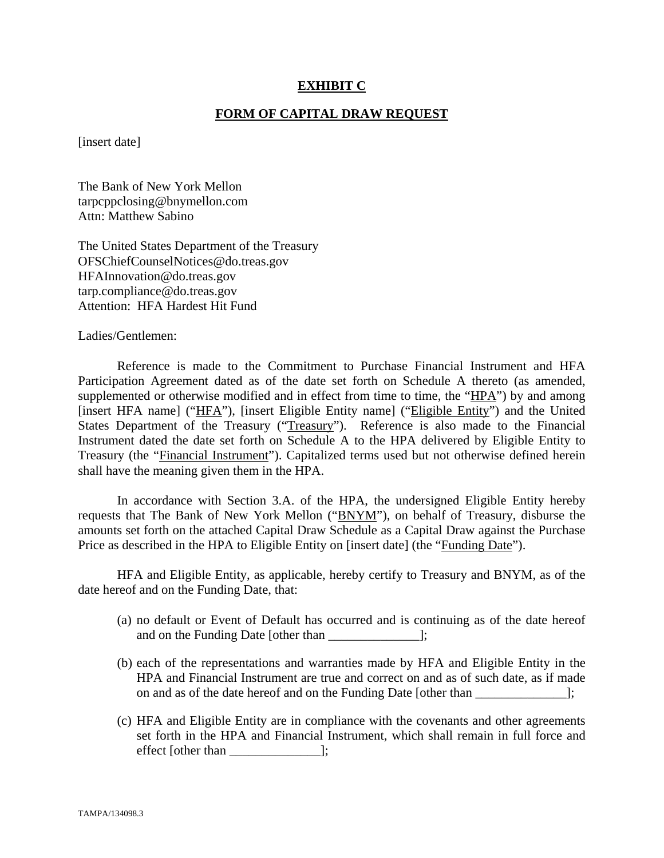#### **EXHIBIT C**

#### **FORM OF CAPITAL DRAW REQUEST**

[insert date]

The Bank of New York Mellon tarpcppclosing@bnymellon.com Attn: Matthew Sabino

The United States Department of the Treasury OFSChiefCounselNotices@do.treas.gov HFAInnovation@do.treas.gov tarp.compliance@do.treas.gov Attention: HFA Hardest Hit Fund

Ladies/Gentlemen:

 Reference is made to the Commitment to Purchase Financial Instrument and HFA Participation Agreement dated as of the date set forth on Schedule A thereto (as amended, supplemented or otherwise modified and in effect from time to time, the "HPA") by and among [insert HFA name] ("HFA"), [insert Eligible Entity name] ("Eligible Entity") and the United States Department of the Treasury ("Treasury"). Reference is also made to the Financial Instrument dated the date set forth on Schedule A to the HPA delivered by Eligible Entity to Treasury (the "Financial Instrument"). Capitalized terms used but not otherwise defined herein shall have the meaning given them in the HPA.

 In accordance with Section 3.A. of the HPA, the undersigned Eligible Entity hereby requests that The Bank of New York Mellon ("BNYM"), on behalf of Treasury, disburse the amounts set forth on the attached Capital Draw Schedule as a Capital Draw against the Purchase Price as described in the HPA to Eligible Entity on [insert date] (the "Funding Date").

 HFA and Eligible Entity, as applicable, hereby certify to Treasury and BNYM, as of the date hereof and on the Funding Date, that:

- (a) no default or Event of Default has occurred and is continuing as of the date hereof and on the Funding Date [other than  $\Box$ ];
- (b) each of the representations and warranties made by HFA and Eligible Entity in the HPA and Financial Instrument are true and correct on and as of such date, as if made on and as of the date hereof and on the Funding Date [other than ];
- (c) HFA and Eligible Entity are in compliance with the covenants and other agreements set forth in the HPA and Financial Instrument, which shall remain in full force and effect [other than \_\_\_\_\_\_\_\_\_\_\_\_\_\_];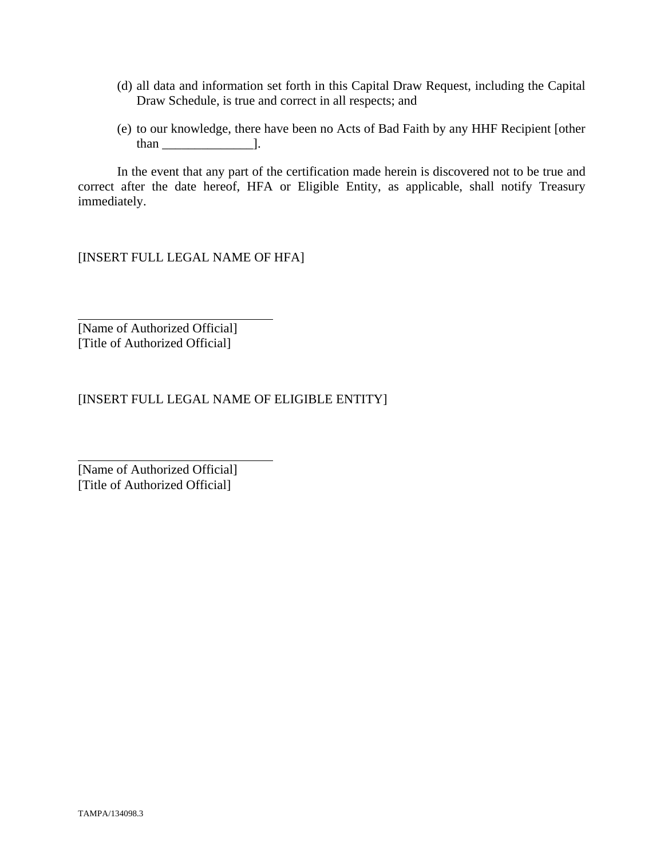- (d) all data and information set forth in this Capital Draw Request, including the Capital Draw Schedule, is true and correct in all respects; and
- (e) to our knowledge, there have been no Acts of Bad Faith by any HHF Recipient [other than  $\qquad$  ].

 In the event that any part of the certification made herein is discovered not to be true and correct after the date hereof, HFA or Eligible Entity, as applicable, shall notify Treasury immediately.

[INSERT FULL LEGAL NAME OF HFA]

[Name of Authorized Official] [Title of Authorized Official]

 $\overline{a}$ 

l

[INSERT FULL LEGAL NAME OF ELIGIBLE ENTITY]

[Name of Authorized Official] [Title of Authorized Official]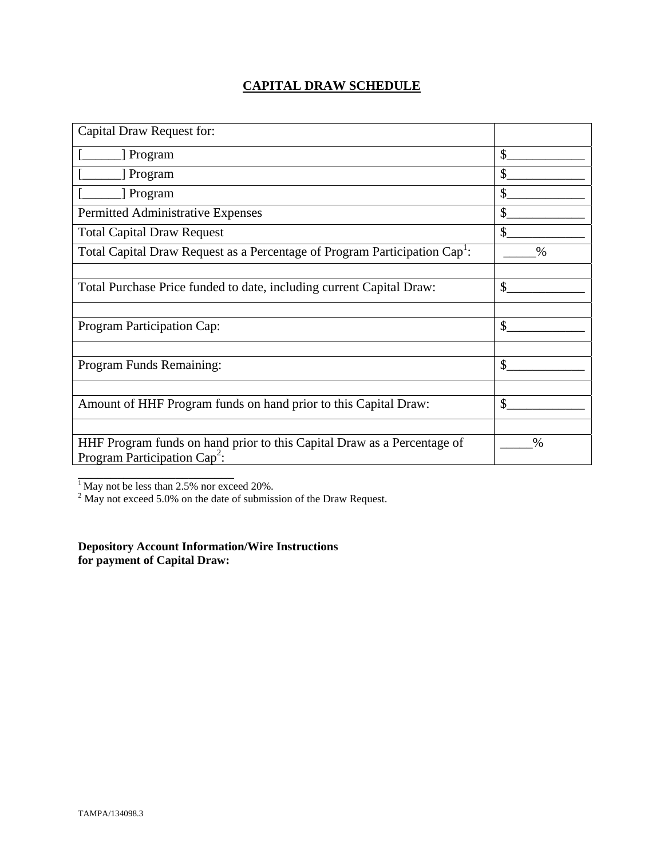# **CAPITAL DRAW SCHEDULE**

| Capital Draw Request for:                                                                                  |               |
|------------------------------------------------------------------------------------------------------------|---------------|
| [ Program                                                                                                  | \$            |
| [ Program                                                                                                  | \$            |
| Program                                                                                                    | \$            |
| Permitted Administrative Expenses                                                                          | \$            |
| <b>Total Capital Draw Request</b>                                                                          | $\mathbb{S}$  |
| Total Capital Draw Request as a Percentage of Program Participation Cap <sup>1</sup> :                     | $\frac{0}{0}$ |
|                                                                                                            |               |
| Total Purchase Price funded to date, including current Capital Draw:                                       | \$            |
|                                                                                                            |               |
| Program Participation Cap:                                                                                 | \$            |
|                                                                                                            |               |
| Program Funds Remaining:                                                                                   | $\mathcal{S}$ |
|                                                                                                            |               |
| Amount of HHF Program funds on hand prior to this Capital Draw:                                            | \$            |
|                                                                                                            |               |
| HHF Program funds on hand prior to this Capital Draw as a Percentage of<br>Program Participation $Cap^2$ : | $\%$          |
|                                                                                                            |               |

<sup>1</sup> May not be less than 2.5% nor exceed 20%.<br><sup>2</sup> May not exceed 5.0% on the date of submission of the Draw Request.

**Depository Account Information/Wire Instructions for payment of Capital Draw:**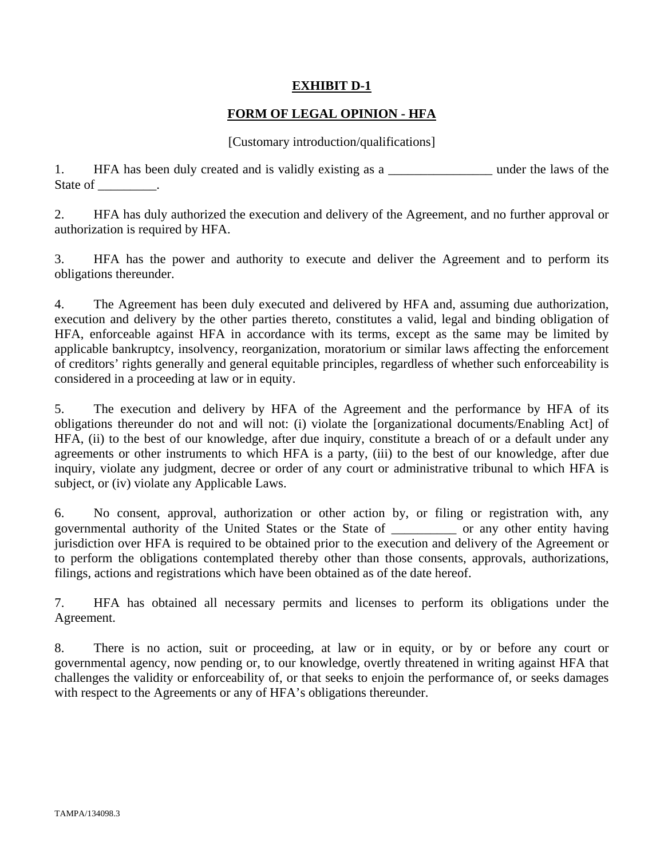## **EXHIBIT D-1**

## **FORM OF LEGAL OPINION - HFA**

#### [Customary introduction/qualifications]

1. HFA has been duly created and is validly existing as a \_\_\_\_\_\_\_\_\_\_\_\_\_\_\_\_\_\_\_\_ under the laws of the State of \_\_\_\_\_\_\_\_\_.

2. HFA has duly authorized the execution and delivery of the Agreement, and no further approval or authorization is required by HFA.

3. HFA has the power and authority to execute and deliver the Agreement and to perform its obligations thereunder.

4. The Agreement has been duly executed and delivered by HFA and, assuming due authorization, execution and delivery by the other parties thereto, constitutes a valid, legal and binding obligation of HFA, enforceable against HFA in accordance with its terms, except as the same may be limited by applicable bankruptcy, insolvency, reorganization, moratorium or similar laws affecting the enforcement of creditors' rights generally and general equitable principles, regardless of whether such enforceability is considered in a proceeding at law or in equity.

5. The execution and delivery by HFA of the Agreement and the performance by HFA of its obligations thereunder do not and will not: (i) violate the [organizational documents/Enabling Act] of HFA, (ii) to the best of our knowledge, after due inquiry, constitute a breach of or a default under any agreements or other instruments to which HFA is a party, (iii) to the best of our knowledge, after due inquiry, violate any judgment, decree or order of any court or administrative tribunal to which HFA is subject, or (iv) violate any Applicable Laws.

6. No consent, approval, authorization or other action by, or filing or registration with, any governmental authority of the United States or the State of \_\_\_\_\_\_\_\_\_\_ or any other entity having jurisdiction over HFA is required to be obtained prior to the execution and delivery of the Agreement or to perform the obligations contemplated thereby other than those consents, approvals, authorizations, filings, actions and registrations which have been obtained as of the date hereof.

7. HFA has obtained all necessary permits and licenses to perform its obligations under the Agreement.

8. There is no action, suit or proceeding, at law or in equity, or by or before any court or governmental agency, now pending or, to our knowledge, overtly threatened in writing against HFA that challenges the validity or enforceability of, or that seeks to enjoin the performance of, or seeks damages with respect to the Agreements or any of HFA's obligations thereunder.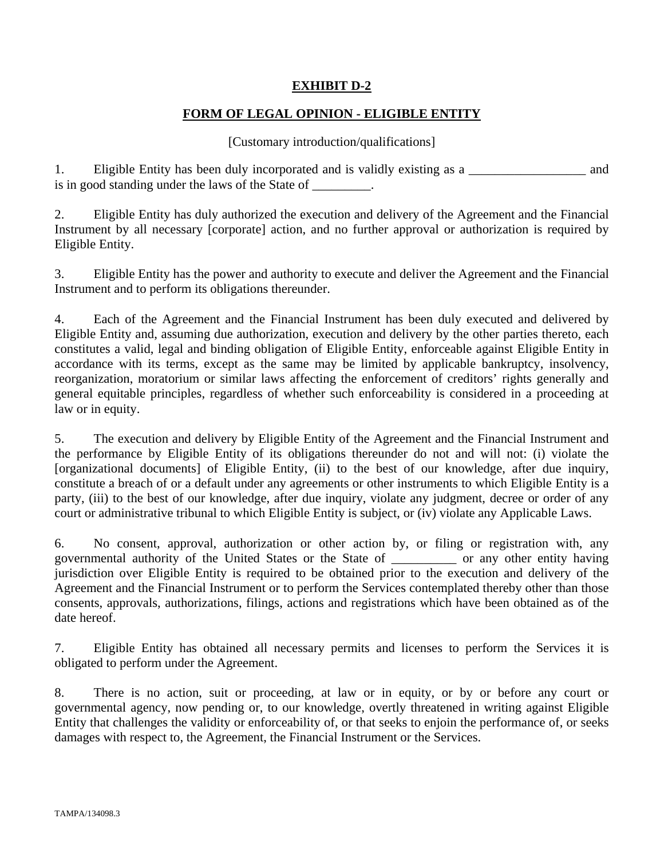## **EXHIBIT D-2**

## **FORM OF LEGAL OPINION - ELIGIBLE ENTITY**

#### [Customary introduction/qualifications]

1. Eligible Entity has been duly incorporated and is validly existing as a \_\_\_\_\_\_\_\_\_\_\_\_\_\_\_\_\_\_ and is in good standing under the laws of the State of \_\_\_\_\_\_\_\_.

2. Eligible Entity has duly authorized the execution and delivery of the Agreement and the Financial Instrument by all necessary [corporate] action, and no further approval or authorization is required by Eligible Entity.

3. Eligible Entity has the power and authority to execute and deliver the Agreement and the Financial Instrument and to perform its obligations thereunder.

4. Each of the Agreement and the Financial Instrument has been duly executed and delivered by Eligible Entity and, assuming due authorization, execution and delivery by the other parties thereto, each constitutes a valid, legal and binding obligation of Eligible Entity, enforceable against Eligible Entity in accordance with its terms, except as the same may be limited by applicable bankruptcy, insolvency, reorganization, moratorium or similar laws affecting the enforcement of creditors' rights generally and general equitable principles, regardless of whether such enforceability is considered in a proceeding at law or in equity.

5. The execution and delivery by Eligible Entity of the Agreement and the Financial Instrument and the performance by Eligible Entity of its obligations thereunder do not and will not: (i) violate the [organizational documents] of Eligible Entity, (ii) to the best of our knowledge, after due inquiry, constitute a breach of or a default under any agreements or other instruments to which Eligible Entity is a party, (iii) to the best of our knowledge, after due inquiry, violate any judgment, decree or order of any court or administrative tribunal to which Eligible Entity is subject, or (iv) violate any Applicable Laws.

6. No consent, approval, authorization or other action by, or filing or registration with, any governmental authority of the United States or the State of \_\_\_\_\_\_\_\_\_\_ or any other entity having jurisdiction over Eligible Entity is required to be obtained prior to the execution and delivery of the Agreement and the Financial Instrument or to perform the Services contemplated thereby other than those consents, approvals, authorizations, filings, actions and registrations which have been obtained as of the date hereof.

7. Eligible Entity has obtained all necessary permits and licenses to perform the Services it is obligated to perform under the Agreement.

8. There is no action, suit or proceeding, at law or in equity, or by or before any court or governmental agency, now pending or, to our knowledge, overtly threatened in writing against Eligible Entity that challenges the validity or enforceability of, or that seeks to enjoin the performance of, or seeks damages with respect to, the Agreement, the Financial Instrument or the Services.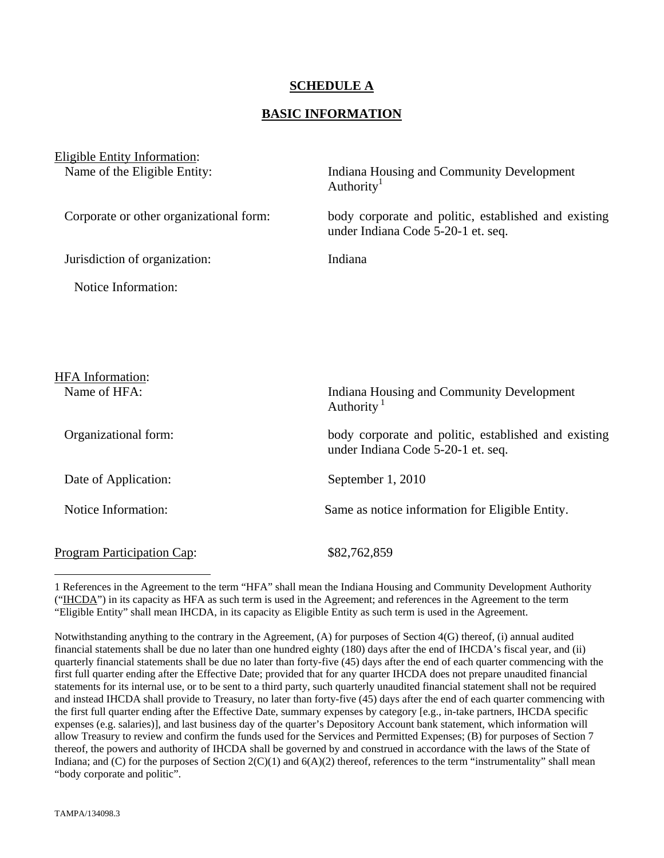#### **SCHEDULE A**

#### **BASIC INFORMATION**

| <b>Eligible Entity Information:</b>     |                                                                                            |  |
|-----------------------------------------|--------------------------------------------------------------------------------------------|--|
| Name of the Eligible Entity:            | <b>Indiana Housing and Community Development</b><br>Authority                              |  |
| Corporate or other organizational form: | body corporate and politic, established and existing<br>under Indiana Code 5-20-1 et. seq. |  |
| Jurisdiction of organization:           | Indiana                                                                                    |  |
| Notice Information:                     |                                                                                            |  |
|                                         |                                                                                            |  |
|                                         |                                                                                            |  |
| <b>HFA</b> Information:                 |                                                                                            |  |
| Name of HFA:                            | Indiana Housing and Community Development<br>Authority <sup>1</sup>                        |  |
| Organizational form:                    | body corporate and politic, established and existing<br>under Indiana Code 5-20-1 et. seq. |  |
| Date of Application:                    | September 1, 2010                                                                          |  |
| Notice Information:                     | Same as notice information for Eligible Entity.                                            |  |
| <b>Program Participation Cap:</b>       | \$82,762,859                                                                               |  |

 $\overline{a}$ 1 References in the Agreement to the term "HFA" shall mean the Indiana Housing and Community Development Authority ("IHCDA") in its capacity as HFA as such term is used in the Agreement; and references in the Agreement to the term "Eligible Entity" shall mean IHCDA, in its capacity as Eligible Entity as such term is used in the Agreement.

Notwithstanding anything to the contrary in the Agreement, (A) for purposes of Section 4(G) thereof, (i) annual audited financial statements shall be due no later than one hundred eighty (180) days after the end of IHCDA's fiscal year, and (ii) quarterly financial statements shall be due no later than forty-five (45) days after the end of each quarter commencing with the first full quarter ending after the Effective Date; provided that for any quarter IHCDA does not prepare unaudited financial statements for its internal use, or to be sent to a third party, such quarterly unaudited financial statement shall not be required and instead IHCDA shall provide to Treasury, no later than forty-five (45) days after the end of each quarter commencing with the first full quarter ending after the Effective Date, summary expenses by category [e.g., in-take partners, IHCDA specific expenses (e.g. salaries)], and last business day of the quarter's Depository Account bank statement, which information will allow Treasury to review and confirm the funds used for the Services and Permitted Expenses; (B) for purposes of Section 7 thereof, the powers and authority of IHCDA shall be governed by and construed in accordance with the laws of the State of Indiana; and (C) for the purposes of Section  $2(C)(1)$  and  $6(A)(2)$  thereof, references to the term "instrumentality" shall mean "body corporate and politic".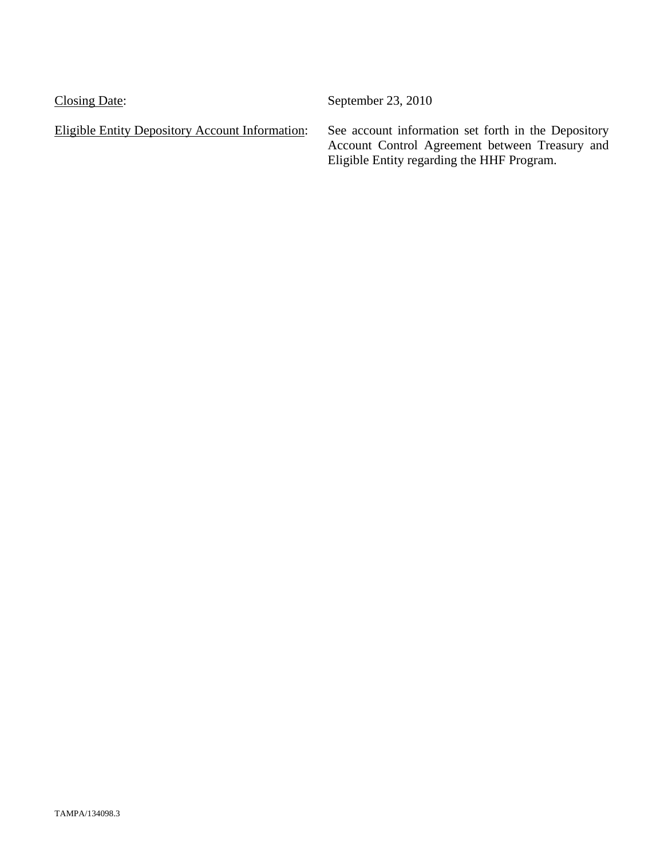Closing Date: September 23, 2010

Eligible Entity Depository Account Information: See account information set forth in the Depository Account Control Agreement between Treasury and Eligible Entity regarding the HHF Program.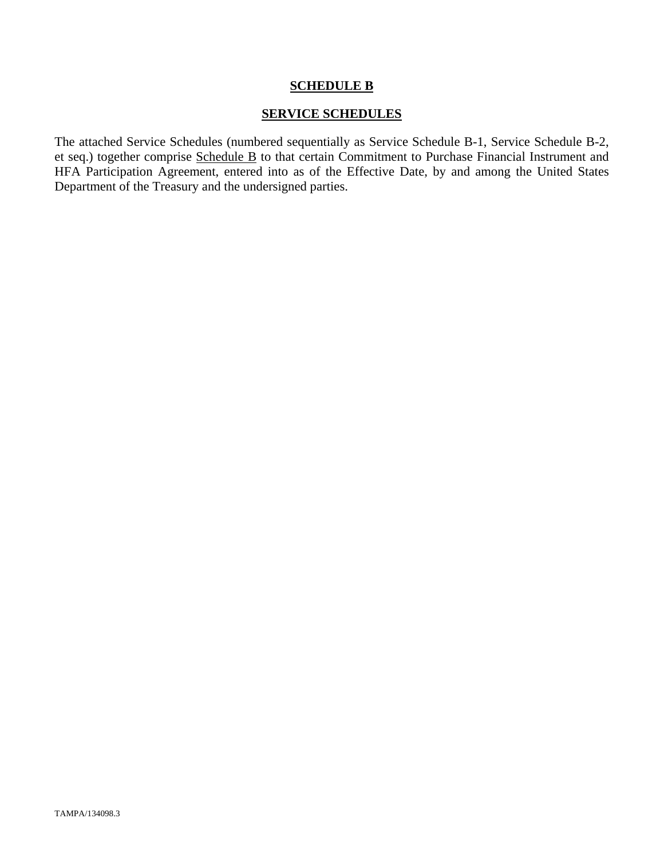#### **SCHEDULE B**

#### **SERVICE SCHEDULES**

The attached Service Schedules (numbered sequentially as Service Schedule B-1, Service Schedule B-2, et seq.) together comprise Schedule B to that certain Commitment to Purchase Financial Instrument and HFA Participation Agreement, entered into as of the Effective Date, by and among the United States Department of the Treasury and the undersigned parties.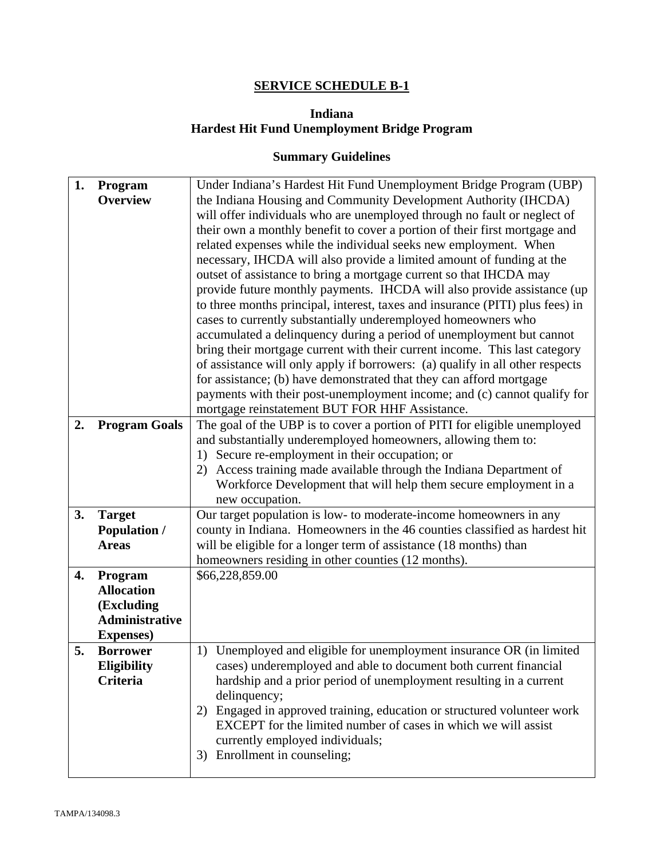# **SERVICE SCHEDULE B-1**

# **Indiana Hardest Hit Fund Unemployment Bridge Program**

# **Summary Guidelines**

| 1. | Program               | Under Indiana's Hardest Hit Fund Unemployment Bridge Program (UBP)            |  |
|----|-----------------------|-------------------------------------------------------------------------------|--|
|    | <b>Overview</b>       | the Indiana Housing and Community Development Authority (IHCDA)               |  |
|    |                       | will offer individuals who are unemployed through no fault or neglect of      |  |
|    |                       | their own a monthly benefit to cover a portion of their first mortgage and    |  |
|    |                       | related expenses while the individual seeks new employment. When              |  |
|    |                       | necessary, IHCDA will also provide a limited amount of funding at the         |  |
|    |                       | outset of assistance to bring a mortgage current so that IHCDA may            |  |
|    |                       | provide future monthly payments. IHCDA will also provide assistance (up       |  |
|    |                       | to three months principal, interest, taxes and insurance (PITI) plus fees) in |  |
|    |                       | cases to currently substantially underemployed homeowners who                 |  |
|    |                       | accumulated a delinquency during a period of unemployment but cannot          |  |
|    |                       | bring their mortgage current with their current income. This last category    |  |
|    |                       | of assistance will only apply if borrowers: (a) qualify in all other respects |  |
|    |                       | for assistance; (b) have demonstrated that they can afford mortgage           |  |
|    |                       | payments with their post-unemployment income; and (c) cannot qualify for      |  |
|    |                       | mortgage reinstatement BUT FOR HHF Assistance.                                |  |
| 2. | <b>Program Goals</b>  | The goal of the UBP is to cover a portion of PITI for eligible unemployed     |  |
|    |                       | and substantially underemployed homeowners, allowing them to:                 |  |
|    |                       | 1) Secure re-employment in their occupation; or                               |  |
|    |                       | Access training made available through the Indiana Department of              |  |
|    |                       | Workforce Development that will help them secure employment in a              |  |
|    |                       | new occupation.                                                               |  |
| 3. | <b>Target</b>         | Our target population is low- to moderate-income homeowners in any            |  |
|    | <b>Population /</b>   | county in Indiana. Homeowners in the 46 counties classified as hardest hit    |  |
|    | <b>Areas</b>          | will be eligible for a longer term of assistance (18 months) than             |  |
|    |                       | homeowners residing in other counties (12 months).                            |  |
| 4. | Program               | \$66,228,859.00                                                               |  |
|    | <b>Allocation</b>     |                                                                               |  |
|    | (Excluding            |                                                                               |  |
|    | <b>Administrative</b> |                                                                               |  |
|    | <b>Expenses</b> )     |                                                                               |  |
| 5. | <b>Borrower</b>       | Unemployed and eligible for unemployment insurance OR (in limited<br>1)       |  |
|    | <b>Eligibility</b>    | cases) underemployed and able to document both current financial              |  |
|    | Criteria              | hardship and a prior period of unemployment resulting in a current            |  |
|    |                       | delinquency;                                                                  |  |
|    |                       | Engaged in approved training, education or structured volunteer work<br>2)    |  |
|    |                       | EXCEPT for the limited number of cases in which we will assist                |  |
|    |                       | currently employed individuals;                                               |  |
|    |                       | Enrollment in counseling;<br>3)                                               |  |
|    |                       |                                                                               |  |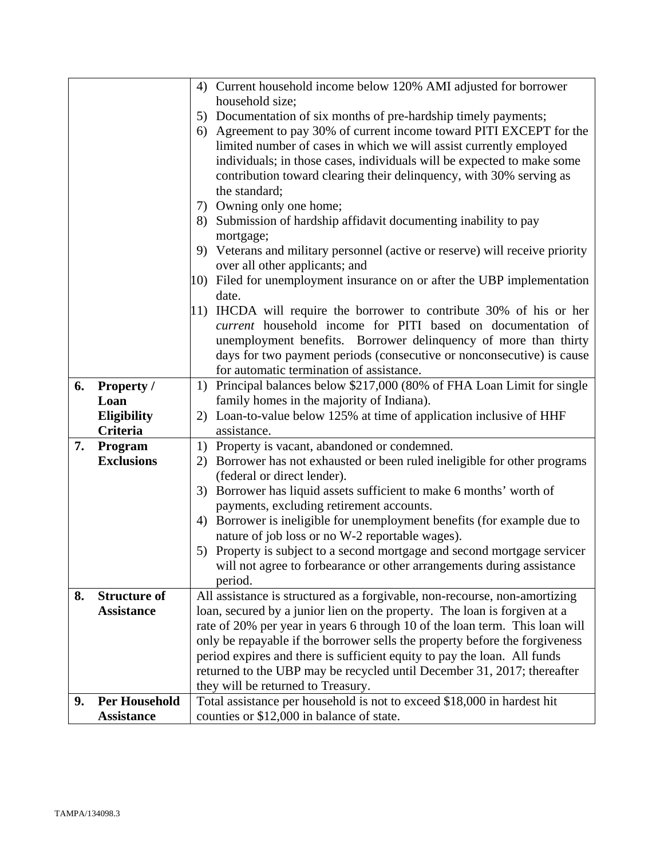|    |                                                                            | Current household income below 120% AMI adjusted for borrower<br>4)                                                                                     |  |  |
|----|----------------------------------------------------------------------------|---------------------------------------------------------------------------------------------------------------------------------------------------------|--|--|
|    |                                                                            | household size;                                                                                                                                         |  |  |
|    |                                                                            | Documentation of six months of pre-hardship timely payments;<br>5)                                                                                      |  |  |
|    |                                                                            | Agreement to pay 30% of current income toward PITI EXCEPT for the<br>6)                                                                                 |  |  |
|    |                                                                            | limited number of cases in which we will assist currently employed                                                                                      |  |  |
|    |                                                                            | individuals; in those cases, individuals will be expected to make some                                                                                  |  |  |
|    |                                                                            | contribution toward clearing their delinquency, with 30% serving as                                                                                     |  |  |
|    |                                                                            | the standard;                                                                                                                                           |  |  |
|    |                                                                            | 7) Owning only one home;                                                                                                                                |  |  |
|    |                                                                            | Submission of hardship affidavit documenting inability to pay<br>8)                                                                                     |  |  |
|    |                                                                            | mortgage;                                                                                                                                               |  |  |
|    |                                                                            | Veterans and military personnel (active or reserve) will receive priority<br>9)                                                                         |  |  |
|    |                                                                            | over all other applicants; and                                                                                                                          |  |  |
|    |                                                                            | Filed for unemployment insurance on or after the UBP implementation<br>10)                                                                              |  |  |
|    |                                                                            | date.                                                                                                                                                   |  |  |
|    | IHCDA will require the borrower to contribute 30% of his or her<br>11)     |                                                                                                                                                         |  |  |
|    |                                                                            | current household income for PITI based on documentation of                                                                                             |  |  |
|    |                                                                            | unemployment benefits. Borrower delinquency of more than thirty                                                                                         |  |  |
|    | days for two payment periods (consecutive or nonconsecutive) is cause      |                                                                                                                                                         |  |  |
|    |                                                                            | for automatic termination of assistance.                                                                                                                |  |  |
| 6. | <b>Property</b> /                                                          | Principal balances below \$217,000 (80% of FHA Loan Limit for single<br>1)                                                                              |  |  |
|    | Loan                                                                       | family homes in the majority of Indiana).                                                                                                               |  |  |
|    | Eligibility                                                                | 2) Loan-to-value below 125% at time of application inclusive of HHF                                                                                     |  |  |
|    | Criteria                                                                   | assistance.                                                                                                                                             |  |  |
| 7. | Program                                                                    | Property is vacant, abandoned or condemned.<br>1)                                                                                                       |  |  |
|    | <b>Exclusions</b>                                                          | Borrower has not exhausted or been ruled ineligible for other programs<br>2)                                                                            |  |  |
|    |                                                                            | (federal or direct lender).                                                                                                                             |  |  |
|    |                                                                            | 3) Borrower has liquid assets sufficient to make 6 months' worth of                                                                                     |  |  |
|    |                                                                            | payments, excluding retirement accounts.                                                                                                                |  |  |
|    | Borrower is ineligible for unemployment benefits (for example due to<br>4) |                                                                                                                                                         |  |  |
|    |                                                                            | nature of job loss or no W-2 reportable wages).                                                                                                         |  |  |
|    |                                                                            | 5) Property is subject to a second mortgage and second mortgage servicer                                                                                |  |  |
|    |                                                                            | will not agree to forbearance or other arrangements during assistance                                                                                   |  |  |
| 8. | <b>Structure of</b>                                                        | period.                                                                                                                                                 |  |  |
|    | <b>Assistance</b>                                                          | All assistance is structured as a forgivable, non-recourse, non-amortizing                                                                              |  |  |
|    |                                                                            | loan, secured by a junior lien on the property. The loan is forgiven at a                                                                               |  |  |
|    |                                                                            | rate of 20% per year in years 6 through 10 of the loan term. This loan will                                                                             |  |  |
|    |                                                                            | only be repayable if the borrower sells the property before the forgiveness<br>period expires and there is sufficient equity to pay the loan. All funds |  |  |
|    |                                                                            | returned to the UBP may be recycled until December 31, 2017; thereafter                                                                                 |  |  |
|    |                                                                            | they will be returned to Treasury.                                                                                                                      |  |  |
| 9. | <b>Per Household</b>                                                       | Total assistance per household is not to exceed \$18,000 in hardest hit                                                                                 |  |  |
|    | <b>Assistance</b>                                                          | counties or \$12,000 in balance of state.                                                                                                               |  |  |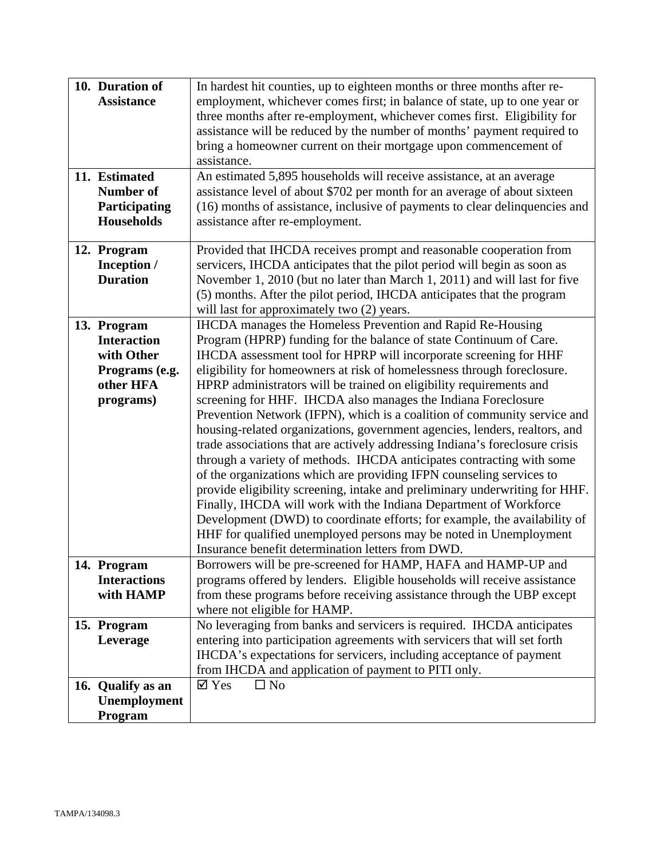|  | 10. Duration of     | In hardest hit counties, up to eighteen months or three months after re-     |  |
|--|---------------------|------------------------------------------------------------------------------|--|
|  | <b>Assistance</b>   | employment, whichever comes first; in balance of state, up to one year or    |  |
|  |                     | three months after re-employment, whichever comes first. Eligibility for     |  |
|  |                     | assistance will be reduced by the number of months' payment required to      |  |
|  |                     | bring a homeowner current on their mortgage upon commencement of             |  |
|  |                     | assistance.                                                                  |  |
|  | 11. Estimated       | An estimated 5,895 households will receive assistance, at an average         |  |
|  | <b>Number of</b>    | assistance level of about \$702 per month for an average of about sixteen    |  |
|  | Participating       | (16) months of assistance, inclusive of payments to clear delinquencies and  |  |
|  | <b>Households</b>   | assistance after re-employment.                                              |  |
|  |                     |                                                                              |  |
|  | 12. Program         | Provided that IHCDA receives prompt and reasonable cooperation from          |  |
|  | Inception /         | servicers, IHCDA anticipates that the pilot period will begin as soon as     |  |
|  | <b>Duration</b>     | November 1, 2010 (but no later than March 1, 2011) and will last for five    |  |
|  |                     | (5) months. After the pilot period, IHCDA anticipates that the program       |  |
|  |                     | will last for approximately two (2) years.                                   |  |
|  | 13. Program         | IHCDA manages the Homeless Prevention and Rapid Re-Housing                   |  |
|  | <b>Interaction</b>  | Program (HPRP) funding for the balance of state Continuum of Care.           |  |
|  | with Other          | IHCDA assessment tool for HPRP will incorporate screening for HHF            |  |
|  | Programs (e.g.      | eligibility for homeowners at risk of homelessness through foreclosure.      |  |
|  | other HFA           | HPRP administrators will be trained on eligibility requirements and          |  |
|  | programs)           | screening for HHF. IHCDA also manages the Indiana Foreclosure                |  |
|  |                     | Prevention Network (IFPN), which is a coalition of community service and     |  |
|  |                     | housing-related organizations, government agencies, lenders, realtors, and   |  |
|  |                     | trade associations that are actively addressing Indiana's foreclosure crisis |  |
|  |                     | through a variety of methods. IHCDA anticipates contracting with some        |  |
|  |                     | of the organizations which are providing IFPN counseling services to         |  |
|  |                     | provide eligibility screening, intake and preliminary underwriting for HHF.  |  |
|  |                     | Finally, IHCDA will work with the Indiana Department of Workforce            |  |
|  |                     | Development (DWD) to coordinate efforts; for example, the availability of    |  |
|  |                     | HHF for qualified unemployed persons may be noted in Unemployment            |  |
|  |                     | Insurance benefit determination letters from DWD.                            |  |
|  | 14. Program         | Borrowers will be pre-screened for HAMP, HAFA and HAMP-UP and                |  |
|  | <b>Interactions</b> | programs offered by lenders. Eligible households will receive assistance     |  |
|  | with HAMP           | from these programs before receiving assistance through the UBP except       |  |
|  |                     | where not eligible for HAMP.                                                 |  |
|  | 15. Program         | No leveraging from banks and servicers is required. IHCDA anticipates        |  |
|  | Leverage            | entering into participation agreements with servicers that will set forth    |  |
|  |                     | IHCDA's expectations for servicers, including acceptance of payment          |  |
|  |                     | from IHCDA and application of payment to PITI only.                          |  |
|  | 16. Qualify as an   | $\square$ No<br>$\overline{\triangle}$ Yes                                   |  |
|  | Unemployment        |                                                                              |  |
|  | Program             |                                                                              |  |